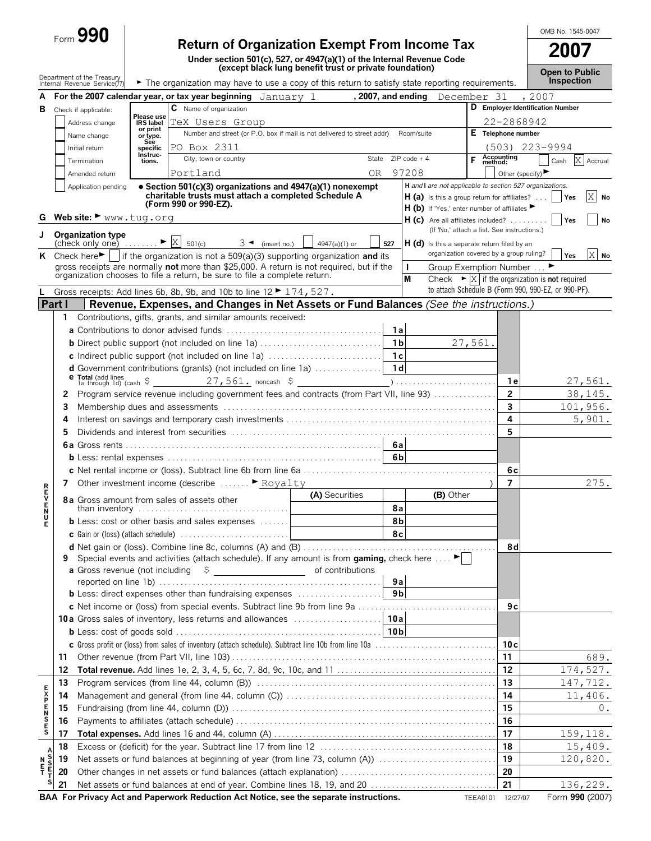| <b>90</b><br>ت rorm |
|---------------------|
|                     |

# **Return of Organization Exempt From Income Tax**

**Under section 501(c), 527, or 4947(a)(1) of the Internal Revenue Code (except black lung benefit trust or private foundation)**

**A For the 2007 calendar year, or tax year beginning** January 1, 2007, and ending December 31, 2007 **B** Check if applicable: **C** Name of organization **D Employer Identification Number** Address change Name change Number and street (or P.O. box if mail is not delivered to street addr) Room/suite **E Telephone number** Initial return Termination **City**, town or country **City** is tate ZIP code + 4 **F Accounting F Accounting Accounting**<br>**method:** Cash **X** Accrual Amended return **Please use IRS label or print or type. See specific Instructions.** Other (specify) $\blacktriangleright$ **Part I | Revenue, Expenses, and Changes in Net Assets or Fund Balances (See the instructions.) 1** Contributions, gifts, grants, and similar amounts received: **a** Contributions to donor advised funds . . . . . . . . . . . . . . . . . . . . . . . . . . . . . . . . . . . . . **1a b** Direct public support (not included on line 1a) . . . . . . . . . . . . . . . . . . . . . . . . . . . . . **1b c** Indirect public support (not included on line 1a) . . . . . . . . . . . . . . . . . . . . . . . . . . . **1c d** Government contributions (grants) (not included on line 1a) . . . . . . . . . . . . . . . . **1d <sup>e</sup> Total** (add lines 1a through 1d) (cash \$ noncash \$ ) . . . . . . . . . . . . . . . . . . . . . . . . **1e 2** Program service revenue including government fees and contracts (from Part VII, line 93) . . . . . . . . . . . . . . . **2 3** Membership dues and assessments . . . . . . . . . . . . . . . . . . . . . . . . . . . . . . . . . . . . . . . . . . . . . . . . . . . . . . . . . . . . . . . . . **3 4** Interest on savings and temporary cash investments . . . . . . . . . . . . . . . . . . . . . . . . . . . . . . . . . . . . . . . . . . . . . . . . . . **4 5** Dividends and interest from securities . . . . . . . . . . . . . . . . . . . . . . . . . . . . . . . . . . . . . . . . . . . . . . . . . . . . . . . . . . . . . . . **5 6a** Gross rents . . . . . . . . . . . . . . . . . . . . . . . . . . . . . . . . . . . . . . . . . . . . . . . . . . . . . . . . . . . . . **6a b** Less: rental expenses . . . . . . . . . . . . . . . . . . . . . . . . . . . . . . . . . . . . . . . . . . . . . . . . . . . **6b c** Net rental income or (loss). Subtract line 6b from line 6a . . . . . . . . . . . . . . . . . . . . . . . . . . . . . . . . . . . . . . . . . . . . . . **6c 7** Other investment income (describe . . . . . . . G ) **7** Royalty**(A)** Securities **(B)** Other than inventory contract the contract of assets other **(A)** Securities **(B)** Other than inventory contract the contract of a set of a set of a set of a set of a set of a set of a set of a set of than inventory . . . . . . . . . . . . . . . . . . . . . . . . . . . . . . . . . . . . **8a b** Less: cost or other basis and sales expenses ....... **c** Gain or (loss) (attach schedule) . . . . . . . . . . . . . . . . . . . . . . . . . . **8c R E V E N U E d** Net gain or (loss). Combine line 8c, columns (A) and (B) . . . . . . . . . . . . . . . . . . . . . . . . . . . . . . . . . . . . . . . . . . . . . . **8d 9** Special events and activities (attach schedule). If any amount is from **gaming**, check here .... **a** Gross revenue (not including  $\beta$  **b** of contributions reported on line 1b) . . . . . . . . . . . . . . . . . . . . . . . . . . . . . . . . . . . . . . . . . . . . . . . . . . . . . **9a b** Less: direct expenses other than fundraising expenses . . . . . . . . . . . . . . . . . . . . **9b c** Net income or (loss) from special events. Subtract line 9b from line 9a . . . . . . . . . . . . . . . . . . . . . . . . . . . . . . . . . **9c 10a** Gross sales of inventory, less returns and allowances . . . . . . . . . . . . . . . . . . . . . **10a b** Less: cost of goods sold . . . . . . . . . . . . . . . . . . . . . . . . . . . . . . . . . . . . . . . . . . . . . . . . . **10b c** Gross profit or (loss) from sales of inventory (attach schedule). Subtract line 10b from line 10a . . . . . . . . . . . . . . . . . . . . . . . . . . . . . **10c 11** Other revenue (from Part VII, line 103) . . . . . . . . . . . . . . . . . . . . . . . . . . . . . . . . . . . . . . . . . . . . . . . . . . . . . . . . . . . . . . . **11 12 Total revenue.** Add lines 1e, 2, 3, 4, 5, 6c, 7, 8d, 9c, 10c, and 11 . . . . . . . . . . . . . . . . . . . . . . . . . . . . . . . . . . . . . . **12 13** Program services (from line 44, column (B)) . . . . . . . . . . . . . . . . . . . . . . . . . . . . . . . . . . . . . . . . . . . . . . . . . . . . . . . . . **13 14** Management and general (from line 44, column (C)) . . . . . . . . . . . . . . . . . . . . . . . . . . . . . . . . . . . . . . . . . . . . . . . . . . **14 15** Fundraising (from line 44, column (D)) . . . . . . . . . . . . . . . . . . . . . . . . . . . . . . . . . . . . . . . . . . . . . . . . . . . . . . . . . . . . . . . **15 16** Payments to affiliates (attach schedule) . . . . . . . . . . . . . . . . . . . . . . . . . . . . . . . . . . . . . . . . . . . . . . . . . . . . . . . . . . . . . . **16 E X P E N S E S 17 Total expenses.** Add lines 16 and 44, column (A) . . . . . . . . . . . . . . . . . . . . . . . . . . . . . . . . . . . . . . . . . . . . . . . . . . . . . **17 18** Excess or (deficit) for the year. Subtract line 17 from line 12 . . . . . . . . . . . . . . . . . . . . . . . . . . . . . . . . . . . . . . . . . . **18 <sup>N</sup> <sup>19</sup>** Net assets or fund balances at beginning of year (from line 73, column (A)) . . . . . . . . . . . . . . . . . . . . . . . . . . . . **<sup>19</sup> <sup>E</sup> T 20** Other changes in net assets or fund balances (attach explanation) . . . . . . . . . . . . . . . . . . . . . . . . . . . . . . . . . . . . . **20 A S S E T <sup>S</sup> 21** Net assets or fund balances at end of year. Combine lines 18, 19, and 20 . . . . . . . . . . . . . . . . . . . . . . . . . . . . . . **21** Department of the Treasury<br>Internal Revenue Service(7  $\blacktriangleright$  The organization may have to use a copy of this return to satisfy state reporting requirements. **Inspection H** *and* **I** *are not applicable to section 527 organizations.* **H (a)** Is this a group return for affiliates? . . . | | **Yes** H (b) If 'Yes,' enter number of affiliates **H** (c) Are all affiliates included? . . . . . . . . . (If 'No,' attach a list. See instructions.) H (d) Is this a separate return filed by an organization covered by a group ruling? **Group Exemption Number ... M** Check  $\triangleright \boxed{\text{X}}$  if the organization is **not** required to attach Schedule B (Form 990, 990-EZ, or 990-PF). Application pending ?**Section 501(c)(3) organizations and 4947(a)(1) nonexempt charitable trusts must attach a completed Schedule A (Form 990 or 990-EZ). G** Web site: ▶ www.tug.org **Organization type**<br>(check only one)  $(3 \triangleleft$  (insert no.)  $\Box$  4947(a)(1) or  $\Box$  527 **K** Check here if the organization is not a 509(a)(3) supporting organization and its gross receipts are normally **not** more than \$25,000. A return is not required, but if the organization chooses to file a return, be sure to file a complete return. **L** Gross receipts: Add lines 6b, 8b, 9b, and 10b to line  $12 \triangleright 174$ , 527. 2007, and ending TeX Users Group PO Box 2311 Portland OR 97208 22-2868942 (503) 223-9994 X No X  $\blacktriangleright$   $\mid$   $\mathbf{X} \mid$  501(c) 27,561. 27,561. noncash \$ (27,561. 38,145. 101,956. 5,901. 275. 689. 174,527. 147,712. 11,406. 0. 159,118. 15,409. 120,820. 136,229.

**BAA For Privacy Act and Paperwork Reduction Act Notice, see the separate instructions.** TEEA0101 12/27/07 Form 990 (2007)

OMB No. 1545-0047

**2007**

**Open to Public**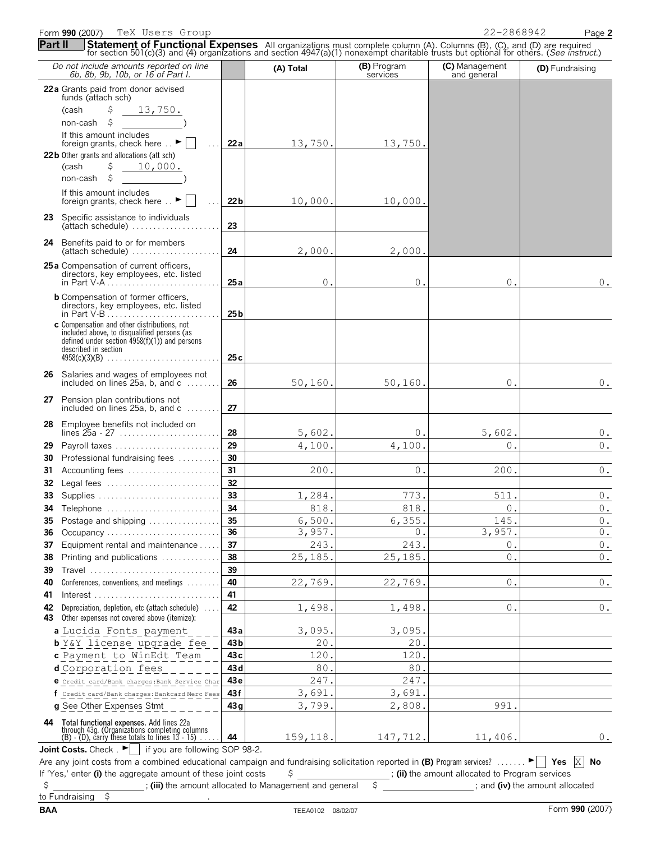Form **990** (2007) Page **2** TeX Users Group 22-2868942

| Part II  | <b>Statement of Functional Expenses</b> All organizations must complete column (A). Columns (B), (C), and (D) are required for section 501(c)(3) and (4) organizations and section 4947(a)(1) nonexempt charitable trusts but optio |                 |                  |                         |                               |                                                  |
|----------|-------------------------------------------------------------------------------------------------------------------------------------------------------------------------------------------------------------------------------------|-----------------|------------------|-------------------------|-------------------------------|--------------------------------------------------|
|          | Do not include amounts reported on line<br>6b, 8b, 9b, 10b, or 16 of Part I.                                                                                                                                                        |                 | (A) Total        | (B) Program<br>services | (C) Management<br>and general | (D) Fundraising                                  |
|          | 22a Grants paid from donor advised<br>funds (attach sch)                                                                                                                                                                            |                 |                  |                         |                               |                                                  |
|          | (cash<br>\$<br>13,750.                                                                                                                                                                                                              |                 |                  |                         |                               |                                                  |
|          | \$<br>non-cash                                                                                                                                                                                                                      |                 |                  |                         |                               |                                                  |
|          | If this amount includes                                                                                                                                                                                                             |                 |                  |                         |                               |                                                  |
|          | foreign grants, check here $\therefore$ $\blacktriangleright$                                                                                                                                                                       | 22a             | 13,750.          | 13,750.                 |                               |                                                  |
|          | 22b Other grants and allocations (att sch)<br>\$<br>10,000.<br>(cash                                                                                                                                                                |                 |                  |                         |                               |                                                  |
|          | \$<br>non-cash                                                                                                                                                                                                                      |                 |                  |                         |                               |                                                  |
|          | If this amount includes                                                                                                                                                                                                             |                 |                  |                         |                               |                                                  |
|          | foreign grants, check here $\mathbb{R}$                                                                                                                                                                                             | 22 <sub>b</sub> | 10,000.          | 10,000.                 |                               |                                                  |
|          | 23 Specific assistance to individuals                                                                                                                                                                                               |                 |                  |                         |                               |                                                  |
|          | (attach schedule)                                                                                                                                                                                                                   | 23              |                  |                         |                               |                                                  |
|          | 24 Benefits paid to or for members<br>(attach schedule)                                                                                                                                                                             | 24              | 2,000.           | 2,000.                  |                               |                                                  |
|          | 25a Compensation of current officers,                                                                                                                                                                                               |                 |                  |                         |                               |                                                  |
|          | directors, key employees, etc. listed                                                                                                                                                                                               |                 |                  |                         |                               |                                                  |
|          | in Part V-A                                                                                                                                                                                                                         | 25a             | 0.               | $\circ$                 | 0.                            | 0.                                               |
|          | <b>b</b> Compensation of former officers,<br>directors, key employees, etc. listed                                                                                                                                                  | 25 <sub>b</sub> |                  |                         |                               |                                                  |
|          | c Compensation and other distributions, not<br>included above, to disqualified persons (as                                                                                                                                          |                 |                  |                         |                               |                                                  |
|          | defined under section $4958(f)(1)$ ) and persons                                                                                                                                                                                    |                 |                  |                         |                               |                                                  |
|          | described in section<br>$4958(c)(3)(B)$                                                                                                                                                                                             | 25c             |                  |                         |                               |                                                  |
|          | 26 Salaries and wages of employees not                                                                                                                                                                                              |                 |                  |                         |                               |                                                  |
|          | included on lines 25a, b, and c                                                                                                                                                                                                     | 26              | 50, 160.         | 50, 160.                | $0$ .                         | $0$ .                                            |
|          | 27 Pension plan contributions not<br>included on lines $25a$ , b, and $c$                                                                                                                                                           | 27              |                  |                         |                               |                                                  |
|          | 28 Employee benefits not included on                                                                                                                                                                                                |                 |                  |                         |                               |                                                  |
| 29       | lines $25a - 27$<br>Payroll taxes                                                                                                                                                                                                   | 28<br>29        | 5,602.<br>4,100. | 0.<br>4,100.            | 5,602.<br>0.                  | $0$ .<br>$\mathbf 0$ .                           |
| 30       | Professional fundraising fees                                                                                                                                                                                                       | 30              |                  |                         |                               |                                                  |
| 31       | Accounting fees                                                                                                                                                                                                                     | 31              | 200.             | $\circ$                 | 200.                          | $\mathbf 0$ .                                    |
| 32       | Legal fees                                                                                                                                                                                                                          | 32              |                  |                         |                               |                                                  |
| 33       | Supplies                                                                                                                                                                                                                            | 33              | 1,284            | 773.                    | 511                           | $0$ .                                            |
|          | 34 Telephone                                                                                                                                                                                                                        | 34              | 818.             | 818.                    | $\mathsf{O}$ .                | $\mathbb O$ .                                    |
| 35       | Postage and shipping                                                                                                                                                                                                                | 35              | 6,500.           | 6,355                   | 145.                          | $\mathsf{0}$ .                                   |
| 36       | Occupancy                                                                                                                                                                                                                           | 36              | 3,957            | $\Omega$                | 3,957.                        | $\mathbf 0$ .                                    |
| 37<br>38 | Equipment rental and maintenance<br>Printing and publications                                                                                                                                                                       | 37<br>38        | 243.<br>25,185   | 243.<br>25, 185.        | Ο.<br>$\Omega$ .              | $0$ .<br>$\mathbf 0$ .                           |
| 39       | Travel                                                                                                                                                                                                                              | 39              |                  |                         |                               |                                                  |
| 40       | Conferences, conventions, and meetings                                                                                                                                                                                              | 40              | 22,769.          | 22,769.                 | 0.                            | $0$ .                                            |
| 41       |                                                                                                                                                                                                                                     | 41              |                  |                         |                               |                                                  |
| 42       | Depreciation, depletion, etc (attach schedule)                                                                                                                                                                                      | 42              | 1,498.           | 1,498.                  | 0.                            | $0$ .                                            |
| 43       | Other expenses not covered above (itemize):                                                                                                                                                                                         |                 |                  |                         |                               |                                                  |
|          | a Lucida Fonts payment                                                                                                                                                                                                              | 43 a            | 3,095<br>20      | 3,095.<br>20            |                               |                                                  |
|          | <b>b</b> Y&Y license upgrade fee<br>c Payment to WinEdt Team                                                                                                                                                                        | 43 b<br>43 с    | 120              | 120                     |                               |                                                  |
|          | d Corporation fees                                                                                                                                                                                                                  | 43 <sub>d</sub> | 80               | 80                      |                               |                                                  |
|          | e Credit card/Bank charges: Bank Service Char                                                                                                                                                                                       | 43e             | 247.             | 247.                    |                               |                                                  |
|          | f Credit card/Bank charges: Bankcard Merc Fees                                                                                                                                                                                      | 43 f            | 3,691            | 3,691                   |                               |                                                  |
|          | g See Other Expenses Stmt                                                                                                                                                                                                           | 43q             | 3,799.           | 2,808                   | 991                           |                                                  |
|          | 44 Total functional expenses. Add lines 22a                                                                                                                                                                                         |                 |                  |                         |                               |                                                  |
|          | through 43g. (Organizations completing columns<br>$(B)$ - $(D)$ , carry these totals to lines 13 - 15)                                                                                                                              | 44              | 159,118.         | 147,712.                | 11,406.                       | $0$ .                                            |
|          | <b>Joint Costs.</b> Check $\cdot$ $\blacksquare$ If you are following SOP 98-2.                                                                                                                                                     |                 |                  |                         |                               |                                                  |
|          | $\frac{1}{2}$ combined educational campaign and fundraising solicitation reported in $\overline{P}$ Pregram sensites?                                                                                                               |                 |                  |                         |                               | $\blacktriangleright$ $\Box$ $\vee$ oc $\Box$ No |

| Are any joint costs from a combined educational campaign and fundraising solicitation reported in (B) Program services? |  |  |                                                 |
|-------------------------------------------------------------------------------------------------------------------------|--|--|-------------------------------------------------|
| If 'Yes,' enter (i) the aggregate amount of these joint costs                                                           |  |  | ; (ii) the amount allocated to Program services |
|                                                                                                                         |  |  |                                                 |

**Example 2 iii)** the amount allocated to Management and general  $\frac{1}{2}$  **i** and **(iv)** the amount allocated  $\frac{1}{2}$  $$$ <br>to Fundraising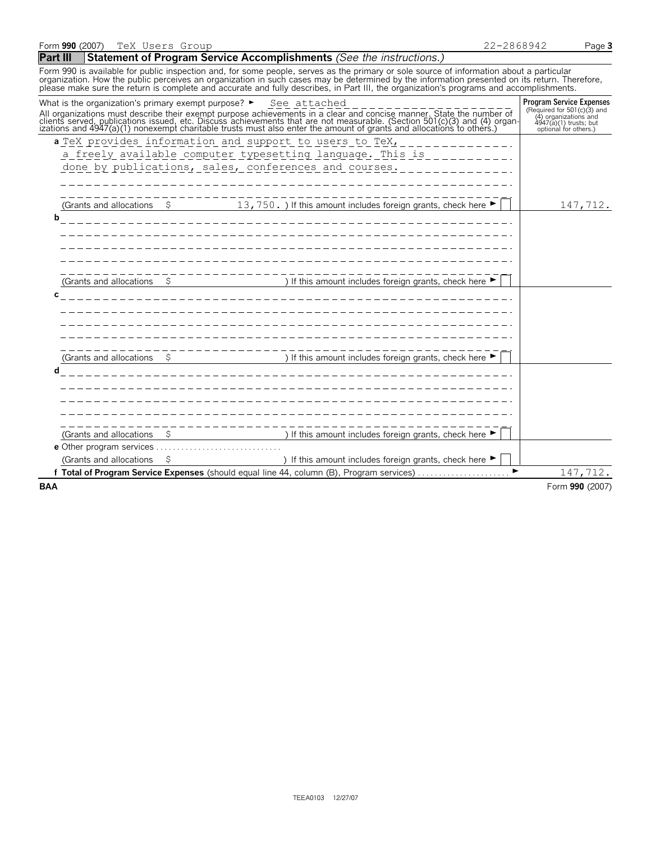#### **Part III** Statement of Program Service Accomplishments *(See the instructions.)*

Form 990 is available for public inspection and, for some people, serves as the primary or sole source of information about a particular organization. How the public perceives an organization in such cases may be determined by the information presented on its return. Therefore,<br>please make sure the return is complete and accurate and fully describes, in Par

|                         | What is the organization's primary exempt purpose? ► See attached<br>All organizations must describe their exempt purpose achievements in a clear and concise manner. State the number of<br>clients served, publications issued, etc. Discuss achievements that are not measurable. (Section 501(c)(3 | <b>Program Service Expenses</b><br>(Required for 501 $(c)$ 3) and<br>(4) organizations and<br>4947(a)(1) trusts; but<br>optional for others.) |
|-------------------------|--------------------------------------------------------------------------------------------------------------------------------------------------------------------------------------------------------------------------------------------------------------------------------------------------------|-----------------------------------------------------------------------------------------------------------------------------------------------|
|                         | a TeX provides information and support to users to TeX,<br>a freely available computer typesetting language. This is<br>done by publications, sales, conferences and courses.                                                                                                                          |                                                                                                                                               |
| b                       | (Grants and allocations $\frac{2}{5}$ 13, 750. ) If this amount includes foreign grants, check here $\blacktriangleright$                                                                                                                                                                              | 147,712.                                                                                                                                      |
|                         | (Grants and allocations $\qquad$ $\qquad$ ) If this amount includes foreign grants, check here $\blacktriangleright$                                                                                                                                                                                   |                                                                                                                                               |
| C                       |                                                                                                                                                                                                                                                                                                        |                                                                                                                                               |
| d                       | ____________<br>(Grants and allocations $\quad$ \$ ) If this amount includes foreign grants, check here $\blacktriangleright$                                                                                                                                                                          |                                                                                                                                               |
|                         | ) If this amount includes foreign grants, check here ▶<br>(Grants and allocations $\frac{1}{2}$                                                                                                                                                                                                        |                                                                                                                                               |
|                         |                                                                                                                                                                                                                                                                                                        |                                                                                                                                               |
| (Grants and allocations | ) If this amount includes foreign grants, check here $\blacktriangleright$<br>Total of Program Service Expenses (should equal line 44, column (B), Program services)                                                                                                                                   | 147,712.                                                                                                                                      |
| <b>BAA</b>              |                                                                                                                                                                                                                                                                                                        | Form 990 (2007)                                                                                                                               |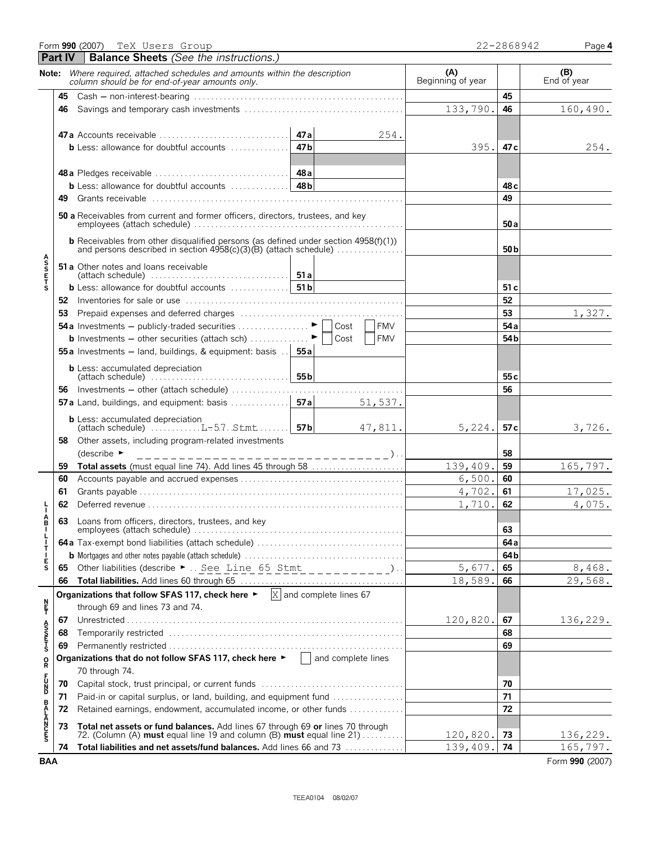|                      |                | Form 990 (2007) TeX Users Group                                                                                                                         |        |            |                          | 22-2868942 | Page 4             |
|----------------------|----------------|---------------------------------------------------------------------------------------------------------------------------------------------------------|--------|------------|--------------------------|------------|--------------------|
|                      | <b>Part IV</b> | <b>Balance Sheets</b> (See the instructions.)                                                                                                           |        |            |                          |            |                    |
|                      |                | Note: Where required, attached schedules and amounts within the description<br>column should be for end-of-year amounts only.                           |        |            | (A)<br>Beginning of year |            | (B)<br>End of year |
|                      | 45             | $\text{Cash} - \text{non-interest-bearing} \dots \dots \dots \dots \dots \dots \dots \dots \dots \dots \dots \dots \dots \dots$                         |        |            |                          | 45         |                    |
|                      | 46             |                                                                                                                                                         |        |            | 133,790.                 | 46         | 160,490.           |
|                      |                |                                                                                                                                                         | 47 a   | 254.       |                          |            |                    |
|                      |                | <b>b</b> Less: allowance for doubtful accounts $\ldots$                                                                                                 | 47 b   |            | 395.                     | 47 c       | 254.               |
|                      |                |                                                                                                                                                         |        |            |                          |            |                    |
|                      |                |                                                                                                                                                         |        |            |                          | 48 с       |                    |
|                      | 49.            |                                                                                                                                                         |        |            |                          | 49         |                    |
|                      |                | 50 a Receivables from current and former officers, directors, trustees, and key                                                                         |        |            |                          | 50 a       |                    |
|                      |                | <b>b</b> Receivables from other disqualified persons (as defined under section $4958(f)(1)$ )                                                           |        |            |                          | 50 b       |                    |
| <b>ASSETS</b>        |                | <b>51 a</b> Other notes and loans receivable                                                                                                            |        |            |                          |            |                    |
|                      |                |                                                                                                                                                         |        |            |                          | 51 c       |                    |
|                      |                |                                                                                                                                                         |        |            |                          | 52         |                    |
|                      | 53             |                                                                                                                                                         |        |            |                          | 53         | 1,327.             |
|                      |                | <b>54a</b> Investments – publicly-traded securities $\ldots \ldots \ldots \vdots$                                                                       |        | <b>FMV</b> |                          | 54a        |                    |
|                      |                | <b>b</b> Investments - other securities (attach sch) $\ldots$ $\ldots$ $\vdots$ $\blacksquare$ Cost                                                     |        | <b>FMV</b> |                          | 54b        |                    |
|                      |                | <b>55a</b> Investments $-$ land, buildings, & equipment: basis $\therefore$<br><b>b</b> Less: accumulated depreciation                                  | 55 a l |            |                          |            |                    |
|                      |                | $\left \left(\text{attack} \right) \right $                                                                                                             |        |            |                          | 55 c       |                    |
|                      | 56             |                                                                                                                                                         |        |            |                          | 56         |                    |
|                      |                | <b>57a</b> Land, buildings, and equipment: basis $\ldots$                                                                                               | 57a    | 51,537.    |                          |            |                    |
|                      |                | <b>b</b> Less: accumulated depreciation<br>(attach schedule) $\ldots \ldots \ldots \ldots$ L-5.7. Stmt 57b                                              |        | 47,811.    | 5,224.                   | 57c        | 3,726.             |
|                      | 58             | Other assets, including program-related investments                                                                                                     |        |            |                          |            |                    |
|                      |                | (describe $\blacktriangleright$<br>_________________________________)                                                                                   |        |            |                          | 58         |                    |
|                      | 59             | Total assets (must equal line 74). Add lines 45 through 58                                                                                              |        |            | 139,409.                 | 59         | 165,797.           |
|                      | 60             |                                                                                                                                                         |        |            | 6,500.                   | 60         |                    |
|                      | 61             |                                                                                                                                                         |        |            | 4,702.                   | 61         | 17,025.            |
|                      | 62             |                                                                                                                                                         |        |            | 1,710.                   | 62         | 4,075.             |
| В<br>L<br>L          | 63             | Loans from officers, directors, trustees, and key                                                                                                       |        |            | 63                       |            |                    |
| $\mathbf{I}$<br>Τ    |                |                                                                                                                                                         |        |            |                          | 64a        |                    |
| $\mathbf{I}$<br>Е    |                |                                                                                                                                                         |        |            | 64b                      |            |                    |
| S                    |                | 65 Other liabilities (describe ►  See Line 65 Stmt __________).                                                                                         |        |            | 5,677.                   | 65         | 8,468.             |
|                      | 66             |                                                                                                                                                         |        |            | 18,589.                  | 66         | 29,568.            |
|                      |                | Organizations that follow SFAS 117, check here $\blacktriangleright$ $\boxed{\text{X}}$ and complete lines 67                                           |        |            |                          |            |                    |
| n<br>F               |                | through 69 and lines 73 and 74.                                                                                                                         |        |            |                          |            |                    |
|                      | 67             |                                                                                                                                                         |        |            | 120,820.                 | 67         | 136,229.           |
| <b>ASS<br/>UNITS</b> | 68             |                                                                                                                                                         |        |            |                          | 68<br>69   |                    |
|                      | 69             | Organizations that do not follow SFAS 117, check here $\blacktriangleright$   and complete lines                                                        |        |            |                          |            |                    |
| R                    |                | 70 through 74.                                                                                                                                          |        |            |                          |            |                    |
| 5<br>20<br>20        | 70             |                                                                                                                                                         |        |            |                          | 70         |                    |
|                      | 71             | Paid-in or capital surplus, or land, building, and equipment fund                                                                                       |        |            |                          | 71         |                    |
| B<br>A<br>L          | 72             | Retained earnings, endowment, accumulated income, or other funds                                                                                        |        |            |                          | 72         |                    |
| <b>ANCES</b>         | 73             | Total net assets or fund balances. Add lines 67 through 69 or lines 70 through<br>72. (Column (A) must equal line 19 and column (B) must equal line 21) |        |            | 120,820.                 | 73         | 136,229.           |
|                      | 74             | Total liabilities and net assets/fund balances. Add lines 66 and 73                                                                                     |        |            | 139,409.                 | 74         | 165,797.           |
| <b>BAA</b>           |                |                                                                                                                                                         |        |            |                          |            | Form 990 (2007)    |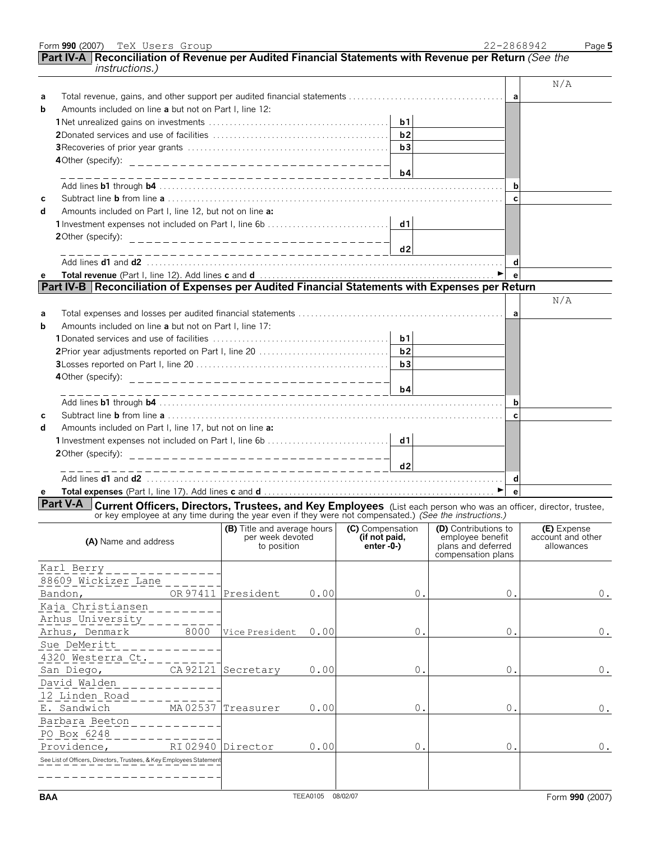|            | Part IV-A  Reconciliation of Revenue per Audited Financial Statements with Revenue per Return <i>(See the</i><br><i>instructions.)</i>                                                                                              |                                                                   |                                   |                                                              |                                 |
|------------|-------------------------------------------------------------------------------------------------------------------------------------------------------------------------------------------------------------------------------------|-------------------------------------------------------------------|-----------------------------------|--------------------------------------------------------------|---------------------------------|
|            |                                                                                                                                                                                                                                     |                                                                   |                                   |                                                              | N/A                             |
| а<br>b     | Amounts included on line a but not on Part I, line 12:                                                                                                                                                                              |                                                                   |                                   | a l                                                          |                                 |
|            |                                                                                                                                                                                                                                     |                                                                   | b1                                |                                                              |                                 |
|            |                                                                                                                                                                                                                                     |                                                                   | b2                                |                                                              |                                 |
|            |                                                                                                                                                                                                                                     |                                                                   | b3                                |                                                              |                                 |
|            |                                                                                                                                                                                                                                     |                                                                   |                                   |                                                              |                                 |
|            |                                                                                                                                                                                                                                     |                                                                   | b4                                | b                                                            |                                 |
| С          |                                                                                                                                                                                                                                     |                                                                   |                                   | $\mathbf{C}$                                                 |                                 |
| d          | Amounts included on Part I, line 12, but not on line a:                                                                                                                                                                             |                                                                   |                                   |                                                              |                                 |
|            |                                                                                                                                                                                                                                     |                                                                   |                                   |                                                              |                                 |
|            |                                                                                                                                                                                                                                     |                                                                   | d2                                |                                                              |                                 |
|            |                                                                                                                                                                                                                                     |                                                                   |                                   | d                                                            |                                 |
| е          |                                                                                                                                                                                                                                     |                                                                   |                                   | e <sup>-</sup>                                               |                                 |
|            | Part IV-B Reconciliation of Expenses per Audited Financial Statements with Expenses per Return                                                                                                                                      |                                                                   |                                   |                                                              | N/A                             |
| а          |                                                                                                                                                                                                                                     |                                                                   |                                   | a                                                            |                                 |
| b          | Amounts included on line a but not on Part I, line 17:                                                                                                                                                                              |                                                                   |                                   |                                                              |                                 |
|            |                                                                                                                                                                                                                                     |                                                                   | b1                                |                                                              |                                 |
|            |                                                                                                                                                                                                                                     |                                                                   | b2                                |                                                              |                                 |
|            |                                                                                                                                                                                                                                     |                                                                   | b3                                |                                                              |                                 |
|            |                                                                                                                                                                                                                                     | ____________________________                                      | b4                                |                                                              |                                 |
|            |                                                                                                                                                                                                                                     |                                                                   |                                   | b                                                            |                                 |
| с          |                                                                                                                                                                                                                                     |                                                                   |                                   | $\mathbf{C}$                                                 |                                 |
| d          | Amounts included on Part I, line 17, but not on line a:                                                                                                                                                                             |                                                                   |                                   |                                                              |                                 |
|            |                                                                                                                                                                                                                                     |                                                                   |                                   |                                                              |                                 |
|            |                                                                                                                                                                                                                                     |                                                                   |                                   |                                                              |                                 |
|            |                                                                                                                                                                                                                                     | ______________________________                                    | d2                                |                                                              |                                 |
|            |                                                                                                                                                                                                                                     |                                                                   |                                   | d<br>$\blacktriangleright$<br>$\mathbf{e}$                   |                                 |
| е          | <b>Part V-A</b> Current Officers, Directors, Trustees, and Key Employees (List each person who was an officer, director, trustee, or key employee at any time during the year even if they were not compensated.) (See the instruct |                                                                   |                                   |                                                              |                                 |
|            |                                                                                                                                                                                                                                     | (B) Title and average hours (C) Compensation (D) Contributions to |                                   |                                                              | (E) Expense                     |
|            | (A) Name and address                                                                                                                                                                                                                | per week devoted<br>to position                                   | (if not paid,<br>enter $-0$ - $)$ | employee benefit<br>plans and deferred<br>compensation plans | account and other<br>allowances |
|            | Karl Berry                                                                                                                                                                                                                          |                                                                   |                                   |                                                              |                                 |
|            | 88609 Wickizer Lane                                                                                                                                                                                                                 |                                                                   |                                   |                                                              |                                 |
|            | OR 97411<br>Bandon,                                                                                                                                                                                                                 | President<br>0.00                                                 | 0.                                | 0.                                                           | $0$ .                           |
|            | Kaja Christiansen                                                                                                                                                                                                                   |                                                                   |                                   |                                                              |                                 |
|            | Arhus University                                                                                                                                                                                                                    |                                                                   |                                   |                                                              |                                 |
|            | 8000<br>Arhus, Denmark                                                                                                                                                                                                              | 0.00<br>Vice President                                            | $0$ .                             | $0$ .                                                        | $0$ .                           |
|            | Sue DeMeritt                                                                                                                                                                                                                        |                                                                   |                                   |                                                              |                                 |
|            | 4320 Westerra Ct.<br>CA 92121                                                                                                                                                                                                       | 0.00<br>Secretary                                                 | 0.                                | 0.                                                           | $0$ .                           |
|            | San Diego,<br>David Walden                                                                                                                                                                                                          |                                                                   |                                   |                                                              |                                 |
|            | 12 Linden Road                                                                                                                                                                                                                      |                                                                   |                                   |                                                              |                                 |
|            | MA02537<br>E. Sandwich                                                                                                                                                                                                              | 0.00<br>Treasurer                                                 | 0.                                | $0$ .                                                        | $0$ .                           |
|            | Barbara Beeton                                                                                                                                                                                                                      |                                                                   |                                   |                                                              |                                 |
|            | PO Box 6248                                                                                                                                                                                                                         |                                                                   |                                   |                                                              |                                 |
|            | RI 02940<br>Providence,                                                                                                                                                                                                             | 0.00<br>Director                                                  | 0.                                | 0.                                                           | $0$ .                           |
|            | See List of Officers, Directors, Trustees, & Key Employees Statemen                                                                                                                                                                 |                                                                   |                                   |                                                              |                                 |
|            |                                                                                                                                                                                                                                     |                                                                   |                                   |                                                              |                                 |
| <b>BAA</b> |                                                                                                                                                                                                                                     | TEEA0105 08/02/07                                                 |                                   |                                                              | Form 990 (2007)                 |

Form **990** (2007) Page **5**

TeX Users Group 22-2868942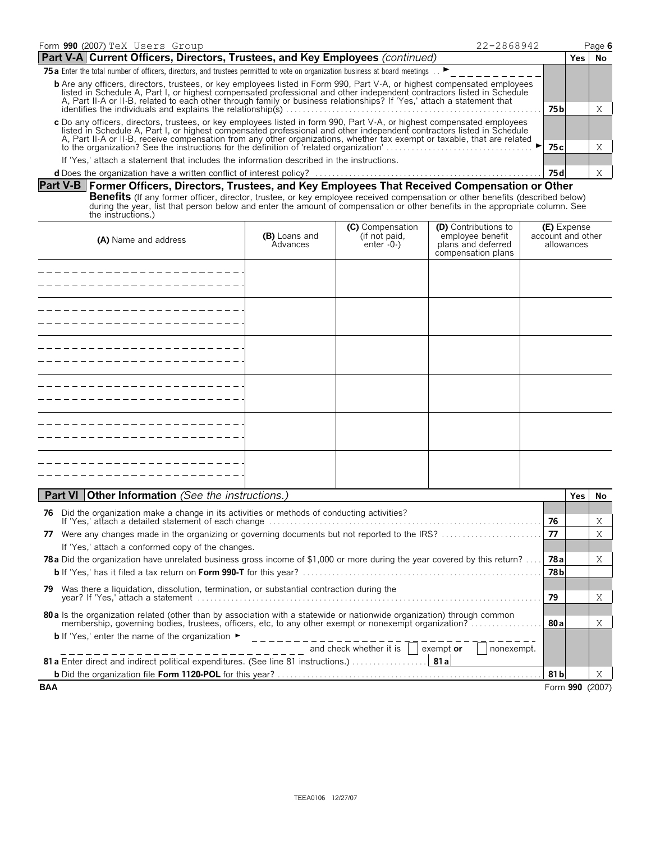| 22-2868942<br>Form 990 (2007) TeX Users Group                                                                                                                                                                                                                                                                                                                                        |        |       | Page 6 |
|--------------------------------------------------------------------------------------------------------------------------------------------------------------------------------------------------------------------------------------------------------------------------------------------------------------------------------------------------------------------------------------|--------|-------|--------|
| Part V-A Current Officers, Directors, Trustees, and Key Employees (continued)                                                                                                                                                                                                                                                                                                        |        | Yes l | No     |
| 75 T5a Enter the total number of officers, directors, and trustees permitted to vote on organization business at board meetings .                                                                                                                                                                                                                                                    |        |       |        |
| <b>b</b> Are any officers, directors, trustees, or key employees listed in Form 990, Part V-A, or highest compensated employees<br>listed in Schedule A, Part I, or highest compensated professional and other independent contractors listed in Schedule<br>A, Part II-A or II-B, related to each other through family or business relationships? If 'Yes,' attach a statement that |        |       |        |
|                                                                                                                                                                                                                                                                                                                                                                                      | 75 b   |       |        |
| c Do any officers, directors, trustees, or key employees listed in form 990, Part V-A, or highest compensated employees listed in Schedule A, Part I, or highest compensated professional and other independent contractors li<br>A, Part II-A or II-B, receive compensation from any other organizations, whether tax exempt or taxable, that are related                           |        |       |        |
|                                                                                                                                                                                                                                                                                                                                                                                      | 75 c l |       |        |
| If 'Yes,' attach a statement that includes the information described in the instructions.                                                                                                                                                                                                                                                                                            |        |       |        |
|                                                                                                                                                                                                                                                                                                                                                                                      | 75 d   |       |        |

#### **Part V-B Former Officers, Directors, Trustees, and Key Employees That Received Compensation or Other**

**Benefits** (If any former officer, director, trustee, or key employee received compensation or other benefits (described below)<br>during the year, list that person below and enter the amount of compensation or other benefits

| (A) Name and address | (B) Loans and<br>Advances | (C) Compensation<br>(if not paid,<br>enter -0-) | <b>(D)</b> Contributions to<br>employee benefit<br>plans and deferred<br>compensation plans | <b>(E)</b> Expense<br>account and other<br>allowances |
|----------------------|---------------------------|-------------------------------------------------|---------------------------------------------------------------------------------------------|-------------------------------------------------------|
|                      |                           |                                                 |                                                                                             |                                                       |
|                      |                           |                                                 |                                                                                             |                                                       |
|                      |                           |                                                 |                                                                                             |                                                       |
|                      |                           |                                                 |                                                                                             |                                                       |
|                      |                           |                                                 |                                                                                             |                                                       |
|                      |                           |                                                 |                                                                                             |                                                       |

|            | <b>Part VI   Other Information</b> (See the instructions.)                                                                      |        | Yes. | No.             |
|------------|---------------------------------------------------------------------------------------------------------------------------------|--------|------|-----------------|
| 76         | Did the organization make a change in its activities or methods of conducting activities?                                       |        |      |                 |
|            |                                                                                                                                 | 76     |      | Χ               |
| 77         | Were any changes made in the organizing or governing documents but not reported to the IRS?                                     | 77     |      | Χ               |
|            | If 'Yes,' attach a conformed copy of the changes.                                                                               |        |      |                 |
|            | <b>78a</b> Did the organization have unrelated business gross income of \$1,000 or more during the year covered by this return? | 78 a l |      | X               |
|            |                                                                                                                                 |        |      |                 |
| 79.        | Was there a liquidation, dissolution, termination, or substantial contraction during the                                        |        |      |                 |
|            |                                                                                                                                 | 79     |      | X               |
|            | 80 a ls the organization related (other than by association with a statewide or nationwide organization) through common         |        |      |                 |
|            |                                                                                                                                 |        |      | X               |
|            | <b>b</b> If 'Yes,' enter the name of the organization $\blacktriangleright$                                                     |        |      |                 |
|            | ------------------------- and check whether it is     exempt or<br>nonexempt.                                                   |        |      |                 |
|            |                                                                                                                                 |        |      |                 |
|            |                                                                                                                                 | 81 bl  |      | X               |
| <b>BAA</b> |                                                                                                                                 |        |      | Form 990 (2007) |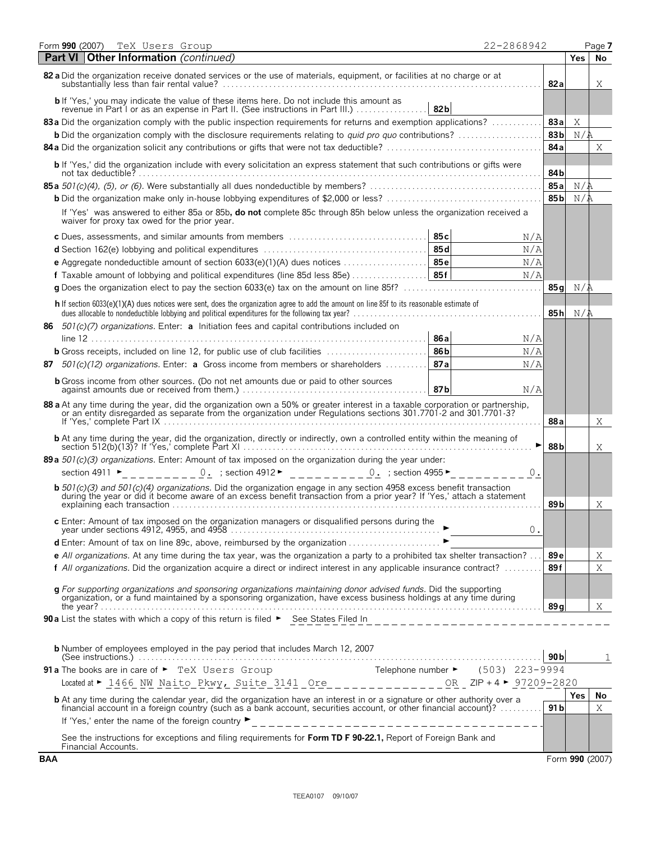| 22-2868942<br>Form 990 (2007)<br>TeX Users Group                                                                                                                                                                                                  |                 |            | Page 7          |
|---------------------------------------------------------------------------------------------------------------------------------------------------------------------------------------------------------------------------------------------------|-----------------|------------|-----------------|
| <b>Part VI Other Information</b> (continued)                                                                                                                                                                                                      |                 | <b>Yes</b> | No              |
| 82 a Did the organization receive donated services or the use of materials, equipment, or facilities at no charge or at                                                                                                                           | 82a             |            | Χ               |
| b If 'Yes,' you may indicate the value of these items here. Do not include this amount as<br>82b<br>revenue in Part I or as an expense in Part II. (See instructions in Part III.)                                                                |                 |            |                 |
| 83a Did the organization comply with the public inspection requirements for returns and exemption applications?                                                                                                                                   | 83a             | Χ          |                 |
| <b>b</b> Did the organization comply with the disclosure requirements relating to <i>quid pro quo</i> contributions?                                                                                                                              | 83 <sub>b</sub> | N/i        |                 |
|                                                                                                                                                                                                                                                   | 84a             |            | Χ               |
| b If 'Yes,' did the organization include with every solicitation an express statement that such contributions or gifts were                                                                                                                       | 84b             |            |                 |
|                                                                                                                                                                                                                                                   | 85a             | N/2        |                 |
|                                                                                                                                                                                                                                                   | 85 <sub>b</sub> | N/R        |                 |
| If 'Yes' was answered to either 85a or 85b, do not complete 85c through 85h below unless the organization received a<br>waiver for proxy tax owed for the prior year.                                                                             |                 |            |                 |
| 85c<br>c Dues, assessments, and similar amounts from members                                                                                                                                                                                      | N/A             |            |                 |
|                                                                                                                                                                                                                                                   | N/A             |            |                 |
| e Aggregate nondeductible amount of section 6033(e)(1)(A) dues notices $\ldots \ldots \ldots \ldots$<br>85f<br><b>f</b> Taxable amount of lobbying and political expenditures (line 85d less 85e)                                                 | N/A<br>N/A      |            |                 |
|                                                                                                                                                                                                                                                   | 85 a            | N/A        |                 |
| h If section 6033(e)(1)(A) dues notices were sent, does the organization agree to add the amount on line 85f to its reasonable estimate of                                                                                                        |                 |            |                 |
| dues allocable to nondeductible lobbying and political expenditures for the following tax year?<br>                                                                                                                                               | 85h             | N/A        |                 |
| 86 $501(c)(7)$ organizations. Enter: a Initiation fees and capital contributions included on<br>86 a                                                                                                                                              | N/A             |            |                 |
| <b>b</b> Gross receipts, included on line 12, for public use of club facilities<br>86 <sub>b</sub>                                                                                                                                                | N/A             |            |                 |
| 87a<br>87 $501(c)(12)$ organizations. Enter: <b>a</b> Gross income from members or shareholders                                                                                                                                                   | N/A             |            |                 |
| <b>b</b> Gross income from other sources. (Do not net amounts due or paid to other sources<br>87b                                                                                                                                                 | N/A             |            |                 |
| 88 a At any time during the year, did the organization own a 50% or greater interest in a taxable corporation or partnership,<br>or an entity disregarded as separate from the organization under Regulations sections 301.7701-2 and 301.7701-3? |                 |            |                 |
|                                                                                                                                                                                                                                                   | 88a             |            | Χ               |
| <b>b</b> At any time during the year, did the organization, directly or indirectly, own a controlled entity within the meaning of                                                                                                                 | 88b             |            | Χ               |
| 89a 501(c)(3) organizations. Enter: Amount of tax imposed on the organization during the year under:                                                                                                                                              |                 |            |                 |
| section 4911 $\blacktriangleright$<br><u>0.</u> ; section 4912 ► _ _ _ _ _ _ _ _ _ 0. ; section 4955 ► _ _ _ _                                                                                                                                    | 0.              |            |                 |
| <b>b</b> 501(c)(3) and 501(c)(4) organizations. Did the organization engage in any section 4958 excess benefit transaction during the year or did it become aware of an excess benefit transaction from a prior year? If 'Yes,' att               | 89 b            |            | Χ               |
| c Enter: Amount of tax imposed on the organization managers or disqualified persons during the                                                                                                                                                    |                 |            |                 |
|                                                                                                                                                                                                                                                   | $0$ .           |            |                 |
| d Enter: Amount of tax on line 89c, above, reimbursed by the organization ▶                                                                                                                                                                       |                 |            |                 |
| e All organizations. At any time during the tax year, was the organization a party to a prohibited tax shelter transaction? $\ldots$                                                                                                              | 89 e            |            | Χ               |
| f All organizations. Did the organization acquire a direct or indirect interest in any applicable insurance contract?                                                                                                                             | 89f             |            | X               |
| g For supporting organizations and sponsoring organizations maintaining donor advised funds. Did the supporting<br>organization, or a fund maintained by a sponsoring organization, have excess business holdings at any time dur                 |                 |            |                 |
| 90a List the states with which a copy of this return is filed > See States Filed In                                                                                                                                                               | 89 al           |            | Χ               |
|                                                                                                                                                                                                                                                   |                 |            |                 |
| <b>b</b> Number of employees employed in the pay period that includes March 12, 2007                                                                                                                                                              | 90 <sub>b</sub> |            | 1               |
| 91a The books are in care of $\blacktriangleright$ TeX Users Group Telephone number $\blacktriangleright$ (503) 223-9994                                                                                                                          |                 |            |                 |
| <u>OR</u> _ ZIP + 4 ► 97209-2820                                                                                                                                                                                                                  |                 |            |                 |
| <b>b</b> At any time during the calendar year, did the organization have an interest in or a signature or other authority over a                                                                                                                  |                 | Yes        | No.             |
| financial account in a foreign country (such as a bank account, securities account, or other financial account)?<br>If 'Yes,' enter the name of the foreign country $\blacktriangleright$                                                         | 91 bl           |            | Χ               |
| See the instructions for exceptions and filing requirements for Form TD F 90-22.1, Report of Foreign Bank and<br>Financial Accounts.                                                                                                              |                 |            |                 |
| <b>BAA</b>                                                                                                                                                                                                                                        |                 |            | Form 990 (2007) |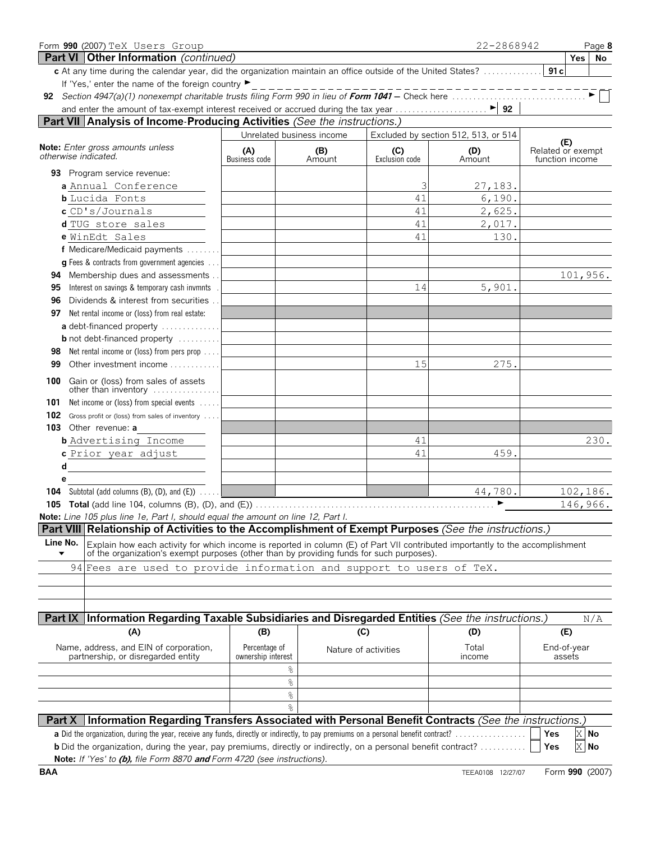| Form 990 (2007) TeX Users Group                                                                                                                                                                                                                              |                                     |                           |                       | 22-2868942                           | Page 8                               |
|--------------------------------------------------------------------------------------------------------------------------------------------------------------------------------------------------------------------------------------------------------------|-------------------------------------|---------------------------|-----------------------|--------------------------------------|--------------------------------------|
| <b>Part VI   Other Information</b> (continued)                                                                                                                                                                                                               |                                     |                           |                       |                                      | Yes<br>No                            |
| c At any time during the calendar year, did the organization maintain an office outside of the United States?                                                                                                                                                |                                     |                           |                       |                                      | 91c                                  |
| If 'Yes,' enter the name of the foreign country ▶                                                                                                                                                                                                            |                                     |                           |                       | ______________                       |                                      |
|                                                                                                                                                                                                                                                              |                                     |                           |                       |                                      |                                      |
|                                                                                                                                                                                                                                                              |                                     |                           |                       |                                      |                                      |
| Part VII Analysis of Income-Producing Activities (See the instructions.)                                                                                                                                                                                     |                                     |                           |                       |                                      |                                      |
|                                                                                                                                                                                                                                                              |                                     | Unrelated business income |                       | Excluded by section 512, 513, or 514 | (E)                                  |
| Note: Enter gross amounts unless<br>otherwise indicated.                                                                                                                                                                                                     | (A)<br>Business code                | (B)<br>Amount             | (C)<br>Exclusion code | (D)<br>Amount                        | Related or exempt<br>function income |
|                                                                                                                                                                                                                                                              |                                     |                           |                       |                                      |                                      |
| 93 Program service revenue:<br>a Annual Conference                                                                                                                                                                                                           |                                     |                           | З                     |                                      |                                      |
| <b>b</b> Lucida Fonts                                                                                                                                                                                                                                        |                                     |                           | 41                    | 27,183.<br>6,190.                    |                                      |
| c CD's/Journals                                                                                                                                                                                                                                              |                                     |                           | 41                    | 2,625.                               |                                      |
| d TUG store sales                                                                                                                                                                                                                                            |                                     |                           | 41                    | 2,017.                               |                                      |
| e WinEdt Sales                                                                                                                                                                                                                                               |                                     |                           | 41                    | 130.                                 |                                      |
| f Medicare/Medicaid payments                                                                                                                                                                                                                                 |                                     |                           |                       |                                      |                                      |
| <b>g</b> Fees & contracts from government agencies                                                                                                                                                                                                           |                                     |                           |                       |                                      |                                      |
| Membership dues and assessments<br>94                                                                                                                                                                                                                        |                                     |                           |                       |                                      | 101,956.                             |
| Interest on savings & temporary cash invmnts<br>95                                                                                                                                                                                                           |                                     |                           | 14                    | 5,901.                               |                                      |
| Dividends & interest from securities<br>96                                                                                                                                                                                                                   |                                     |                           |                       |                                      |                                      |
| Net rental income or (loss) from real estate:<br>97                                                                                                                                                                                                          |                                     |                           |                       |                                      |                                      |
| a debt-financed property                                                                                                                                                                                                                                     |                                     |                           |                       |                                      |                                      |
| <b>b</b> not debt-financed property                                                                                                                                                                                                                          |                                     |                           |                       |                                      |                                      |
| Net rental income or (loss) from pers prop<br>98                                                                                                                                                                                                             |                                     |                           |                       |                                      |                                      |
| 99<br>Other investment income                                                                                                                                                                                                                                |                                     |                           | 15                    | 275.                                 |                                      |
| Gain or (loss) from sales of assets<br>100<br>other than inventory                                                                                                                                                                                           |                                     |                           |                       |                                      |                                      |
| Net income or (loss) from special events<br>101                                                                                                                                                                                                              |                                     |                           |                       |                                      |                                      |
| 102<br>Gross profit or (loss) from sales of inventory                                                                                                                                                                                                        |                                     |                           |                       |                                      |                                      |
| 103 Other revenue: a                                                                                                                                                                                                                                         |                                     |                           |                       |                                      |                                      |
| <b>b</b> Advertising Income                                                                                                                                                                                                                                  |                                     |                           | 41                    |                                      | 230.                                 |
| c Prior year adjust                                                                                                                                                                                                                                          |                                     |                           | 41                    | 459.                                 |                                      |
| d                                                                                                                                                                                                                                                            |                                     |                           |                       |                                      |                                      |
| e                                                                                                                                                                                                                                                            |                                     |                           |                       |                                      |                                      |
| <b>104</b> Subtotal (add columns $(B)$ , $(D)$ , and $(E)$ ) $\ldots$                                                                                                                                                                                        |                                     |                           |                       | 44,780.                              | 102,186.                             |
| 105 Total (add line 104, columns (B), (D), and (E))                                                                                                                                                                                                          |                                     |                           |                       | ▶                                    | 146,966.                             |
| <b>Note:</b> Line 105 plus line 1e, Part I, should equal the amount on line 12, Part I.                                                                                                                                                                      |                                     |                           |                       |                                      |                                      |
| Part VIII Relationship of Activities to the Accomplishment of Exempt Purposes (See the instructions.)                                                                                                                                                        |                                     |                           |                       |                                      |                                      |
| Line No.<br>Explain how each activity for which income is reported in column (E) of Part VII contributed importantly to the accomplishment<br>of the organization's exempt purposes (other than by providing funds for such purposes).                       |                                     |                           |                       |                                      |                                      |
| 94 Fees are used to provide information and support to users of TeX.                                                                                                                                                                                         |                                     |                           |                       |                                      |                                      |
|                                                                                                                                                                                                                                                              |                                     |                           |                       |                                      |                                      |
|                                                                                                                                                                                                                                                              |                                     |                           |                       |                                      |                                      |
| Part IX Information Regarding Taxable Subsidiaries and Disregarded Entities (See the instructions.)                                                                                                                                                          |                                     |                           |                       |                                      | N/A                                  |
| (A)                                                                                                                                                                                                                                                          | (B)                                 |                           | (C)                   | (D)                                  | (E)                                  |
| Name, address, and EIN of corporation,<br>partnership, or disregarded entity                                                                                                                                                                                 | Percentage of<br>ownership interest |                           | Nature of activities  | Total<br>income                      | End-of-year<br>assets                |
|                                                                                                                                                                                                                                                              |                                     | %                         |                       |                                      |                                      |
|                                                                                                                                                                                                                                                              |                                     | g                         |                       |                                      |                                      |
|                                                                                                                                                                                                                                                              |                                     | g                         |                       |                                      |                                      |
|                                                                                                                                                                                                                                                              |                                     | $\approx$                 |                       |                                      |                                      |
| Information Regarding Transfers Associated with Personal Benefit Contracts (See the instructions.)<br>Part X                                                                                                                                                 |                                     |                           |                       |                                      |                                      |
| a Did the organization, during the year, receive any funds, directly or indirectly, to pay premiums on a personal benefit contract?<br><b>b</b> Did the organization, during the year, pay premiums, directly or indirectly, on a personal benefit contract? |                                     |                           |                       |                                      | Yes<br>$X$ No<br>Yes<br>X No         |
| Note: If 'Yes' to (b), file Form 8870 and Form 4720 (see instructions).                                                                                                                                                                                      |                                     |                           |                       |                                      |                                      |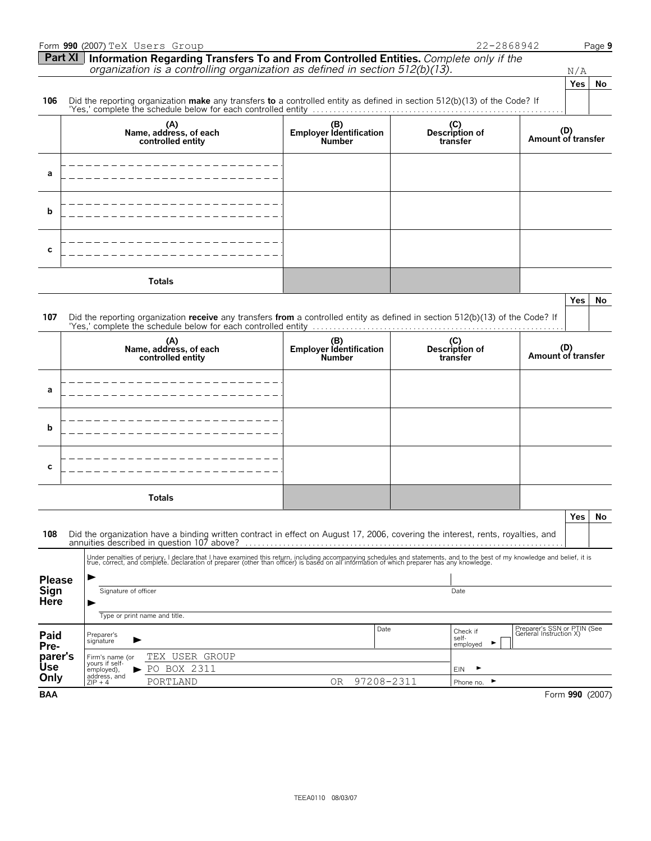|               |                                              | Form 990 (2007) TeX Users Group                                                                                                                                                                                                   |                                                 |                                   | 22-2868942                                            | Page 9    |
|---------------|----------------------------------------------|-----------------------------------------------------------------------------------------------------------------------------------------------------------------------------------------------------------------------------------|-------------------------------------------------|-----------------------------------|-------------------------------------------------------|-----------|
|               | Part XI                                      | Information Regarding Transfers To and From Controlled Entities. Complete only if the                                                                                                                                             |                                                 |                                   |                                                       |           |
|               |                                              | organization is a controlling organization as defined in section 512(b)(13).                                                                                                                                                      |                                                 |                                   | N/A<br>Yes                                            | No        |
| 106           |                                              | Did the reporting organization make any transfers to a controlled entity as defined in section $512(b)(13)$ of the Code? If                                                                                                       |                                                 |                                   |                                                       |           |
|               |                                              | 'Yes,' complete the schedule below for each controlled entity                                                                                                                                                                     |                                                 |                                   |                                                       |           |
|               |                                              | (A)<br>Name, address, of each<br>controlled entity                                                                                                                                                                                | (B)<br>Employer Identification<br><b>Number</b> | (C)<br>Description of<br>transfer | (D)<br>Amount of transfer                             |           |
| a             |                                              |                                                                                                                                                                                                                                   |                                                 |                                   |                                                       |           |
| b             |                                              |                                                                                                                                                                                                                                   |                                                 |                                   |                                                       |           |
| C             |                                              |                                                                                                                                                                                                                                   |                                                 |                                   |                                                       |           |
|               |                                              | <b>Totals</b>                                                                                                                                                                                                                     |                                                 |                                   |                                                       |           |
| 107           |                                              | Did the reporting organization receive any transfers from a controlled entity as defined in section 512(b)(13) of the Code? If                                                                                                    |                                                 |                                   | Yes                                                   | No        |
|               |                                              | (A)<br>Name, address, of each<br>controlled entity                                                                                                                                                                                | (B)<br>Employer Identification<br><b>Number</b> | (C)<br>Description of<br>transfer | (D)<br>Amount of transfer                             |           |
| а             |                                              |                                                                                                                                                                                                                                   |                                                 |                                   |                                                       |           |
| b             |                                              |                                                                                                                                                                                                                                   |                                                 |                                   |                                                       |           |
| C             |                                              |                                                                                                                                                                                                                                   |                                                 |                                   |                                                       |           |
|               |                                              | <b>Totals</b>                                                                                                                                                                                                                     |                                                 |                                   |                                                       |           |
| 108           |                                              | Did the organization have a binding written contract in effect on August 17, 2006, covering the interest, rents, royalties, and                                                                                                   |                                                 |                                   | Yes                                                   | <b>No</b> |
|               |                                              | Under penalties of perjury, I declare that I have examined this return, including accompanying schedules and statements, and to the best of my knowledge and belief, it is<br>true, correct, and complete. Declaration of prepare |                                                 |                                   |                                                       |           |
| <b>Please</b> |                                              |                                                                                                                                                                                                                                   |                                                 |                                   |                                                       |           |
| Sign          |                                              | Signature of officer                                                                                                                                                                                                              |                                                 | Date                              |                                                       |           |
| <b>Here</b>   |                                              | Type or print name and title.                                                                                                                                                                                                     |                                                 |                                   |                                                       |           |
|               |                                              |                                                                                                                                                                                                                                   | Date                                            | Check if                          | Preparer's SSN or PTIN (See<br>General Instruction X) |           |
| Paid<br>Pre-  | Preparer's<br>signature                      |                                                                                                                                                                                                                                   |                                                 | self-<br>employed                 | ▶                                                     |           |
| parer's       | Firm's name (or                              | TEX USER GROUP                                                                                                                                                                                                                    |                                                 |                                   |                                                       |           |
| Use<br>Only   | yours if self-<br>employed),<br>address, and | PO BOX 2311                                                                                                                                                                                                                       |                                                 | EIN<br>,                          |                                                       |           |
|               | $ZIP + 4$                                    | PORTLAND                                                                                                                                                                                                                          | 97208-2311<br>0R                                | Phone no.                         | ▶                                                     |           |
| <b>BAA</b>    |                                              |                                                                                                                                                                                                                                   |                                                 |                                   | Form 990 (2007)                                       |           |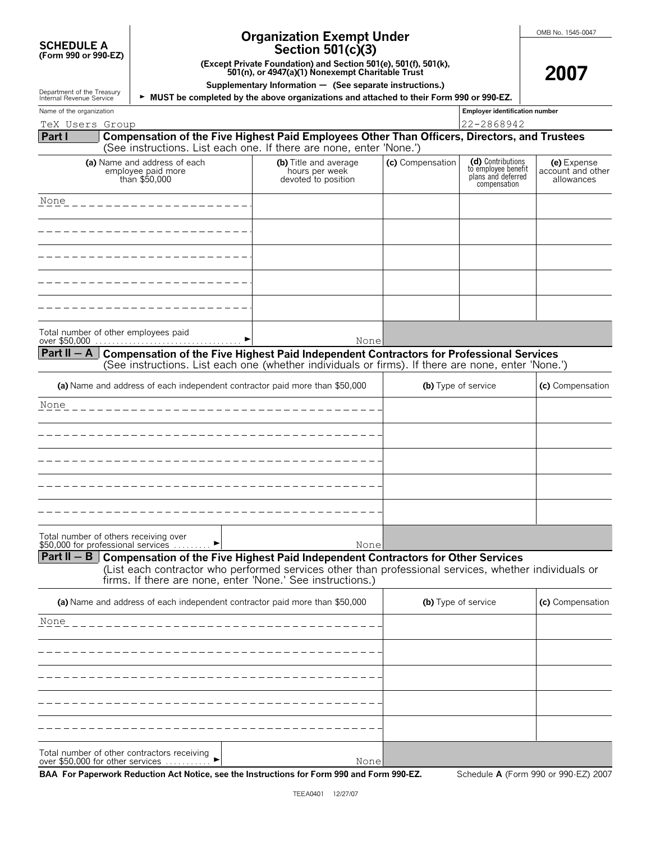| <b>SCHEDULE A</b>    |  |  |
|----------------------|--|--|
| (Form 990 or 990-EZ) |  |  |

Department of the Treasury<br>Internal Pevenue Service

# **Organization Exempt Under**

**2007**

| Section 501(c)(3) |  |  |
|-------------------|--|--|
|-------------------|--|--|

**(Except Private Foundation) and Section 501(e), 501(f), 501(k), 501(n), or 4947(a)(1) Nonexempt Charitable Trust**

**Supplementary Information** ' **(See separate instructions.)**

**MUST be completed by the above organizations and attached to their Form 990 or 990-EZ.** 

| Name of the organization       |                                                                                                                                                                                                                                                                |                                                                |                  | <b>Employer identification number</b>                                          |                                                |
|--------------------------------|----------------------------------------------------------------------------------------------------------------------------------------------------------------------------------------------------------------------------------------------------------------|----------------------------------------------------------------|------------------|--------------------------------------------------------------------------------|------------------------------------------------|
| TeX Users Group                |                                                                                                                                                                                                                                                                |                                                                | 22-2868942       |                                                                                |                                                |
| Part I                         | Compensation of the Five Highest Paid Employees Other Than Officers, Directors, and Trustees<br>(See instructions. List each one. If there are none, enter 'None.')                                                                                            |                                                                |                  |                                                                                |                                                |
|                                | (a) Name and address of each<br>employee paid more<br>than \$50,000                                                                                                                                                                                            | (b) Title and average<br>hours per week<br>devoted to position | (c) Compensation | (d) Contributions<br>to employee benefit<br>plans and deferred<br>compensation | (e) Expense<br>account and other<br>allowances |
| None                           |                                                                                                                                                                                                                                                                |                                                                |                  |                                                                                |                                                |
|                                |                                                                                                                                                                                                                                                                |                                                                |                  |                                                                                |                                                |
|                                |                                                                                                                                                                                                                                                                |                                                                |                  |                                                                                |                                                |
|                                |                                                                                                                                                                                                                                                                |                                                                |                  |                                                                                |                                                |
|                                | Total number of other employees paid                                                                                                                                                                                                                           |                                                                |                  |                                                                                |                                                |
| over \$50,000<br>Part II $-$ A | Compensation of the Five Highest Paid Independent Contractors for Professional Services<br>(See instructions. List each one (whether individuals or firms). If there are none, enter 'None.')                                                                  | None                                                           |                  |                                                                                |                                                |
|                                | (a) Name and address of each independent contractor paid more than \$50,000                                                                                                                                                                                    |                                                                |                  | (b) Type of service                                                            | (c) Compensation                               |
| None                           |                                                                                                                                                                                                                                                                |                                                                |                  |                                                                                |                                                |
|                                |                                                                                                                                                                                                                                                                |                                                                |                  |                                                                                |                                                |
|                                |                                                                                                                                                                                                                                                                |                                                                |                  |                                                                                |                                                |
|                                |                                                                                                                                                                                                                                                                |                                                                |                  |                                                                                |                                                |
|                                | Total number of others receiving over                                                                                                                                                                                                                          |                                                                |                  |                                                                                |                                                |
|                                | \$50,000 for professional services                                                                                                                                                                                                                             | None                                                           |                  |                                                                                |                                                |
| Part II $-$ B                  | <b>Compensation of the Five Highest Paid Independent Contractors for Other Services</b><br>(List each contractor who performed services other than professional services, whether individuals or<br>firms. If there are none, enter 'None.' See instructions.) |                                                                |                  |                                                                                |                                                |
|                                | (a) Name and address of each independent contractor paid more than \$50,000                                                                                                                                                                                    |                                                                |                  | (b) Type of service                                                            | (c) Compensation                               |
| None                           |                                                                                                                                                                                                                                                                |                                                                |                  |                                                                                |                                                |
|                                |                                                                                                                                                                                                                                                                |                                                                |                  |                                                                                |                                                |
|                                |                                                                                                                                                                                                                                                                |                                                                |                  |                                                                                |                                                |
|                                |                                                                                                                                                                                                                                                                |                                                                |                  |                                                                                |                                                |
|                                |                                                                                                                                                                                                                                                                |                                                                |                  |                                                                                |                                                |

| Total number of other contractors receiving |  |
|---------------------------------------------|--|
| over \$50,000 for other services $\ldots$   |  |

None

**BAA For Paperwork Reduction Act Notice, see the Instructions for Form 990 and Form 990-EZ.** Schedule **A** (Form 990 or 990-EZ) 2007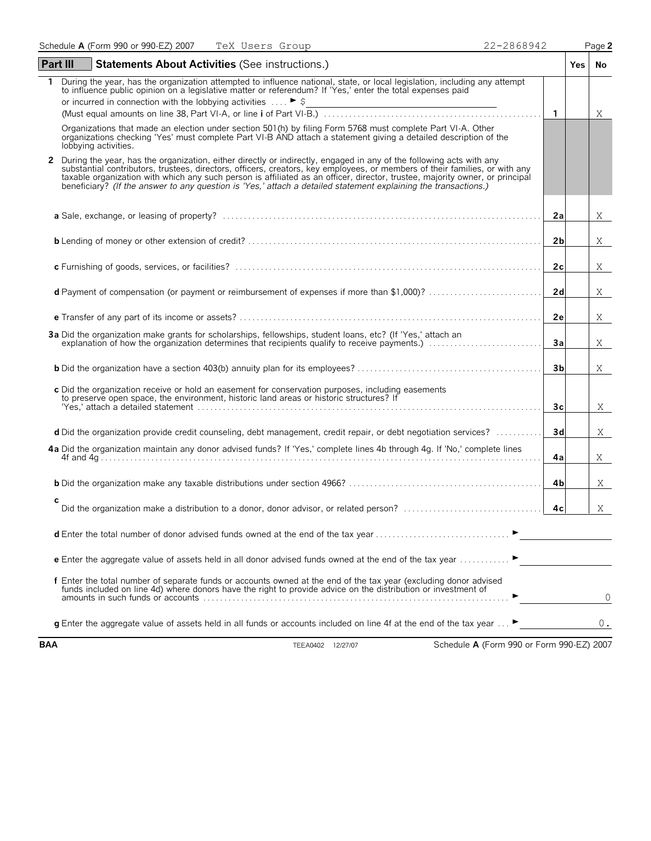| <b>Part III</b> | <b>Statements About Activities (See instructions.)</b>                                                                                                                                                                                                                                                                                                                         |                | <b>Yes</b> | No    |
|-----------------|--------------------------------------------------------------------------------------------------------------------------------------------------------------------------------------------------------------------------------------------------------------------------------------------------------------------------------------------------------------------------------|----------------|------------|-------|
|                 | During the year, has the organization attempted to influence national, state, or local legislation, including any attempt<br>to influence public opinion on a legislative matter or referendum? If 'Yes,' enter the total expenses paid                                                                                                                                        |                |            |       |
|                 | or incurred in connection with the lobbying activities $\ldots$ $\blacktriangleright$ \$                                                                                                                                                                                                                                                                                       |                |            |       |
|                 |                                                                                                                                                                                                                                                                                                                                                                                | $\mathbf{1}$   |            | Χ     |
| 2               | Organizations that made an election under section 501(h) by filing Form 5768 must complete Part VI-A. Other<br>organizations checking 'Yes' must complete Part VI-B AND attach a statement giving a detailed description of the<br>lobbying activities.<br>During the year, has the organization, either directly or indirectly, engaged in any of the following acts with any |                |            |       |
|                 | substantial contributors, trustees, directors, officers, creators, key employees, or members of their families, or with any<br>taxable organization with which any such person is affiliated as an officer, director, trustee, majority owner, or principal<br>beneficiary? (If the answer to any question is 'Yes,' attach a detailed statement explaining the transactions.) |                |            |       |
|                 |                                                                                                                                                                                                                                                                                                                                                                                | 2a             |            | X     |
|                 |                                                                                                                                                                                                                                                                                                                                                                                | 2 <sub>b</sub> |            | X     |
|                 |                                                                                                                                                                                                                                                                                                                                                                                | 2c             |            | X     |
|                 | d Payment of compensation (or payment or reimbursement of expenses if more than \$1,000)?                                                                                                                                                                                                                                                                                      | 2d             |            | X     |
|                 |                                                                                                                                                                                                                                                                                                                                                                                | 2e             |            | X     |
|                 | 3a Did the organization make grants for scholarships, fellowships, student loans, etc? (If 'Yes,' attach an                                                                                                                                                                                                                                                                    | 3a             |            | X     |
|                 |                                                                                                                                                                                                                                                                                                                                                                                | 3b             |            | Χ     |
|                 | c Did the organization receive or hold an easement for conservation purposes, including easements<br>to preserve open space, the environment, historic land areas or historic structures? If<br>"Yes,' attach a detailed statement ………………………………………………………………………………………                                                                                                           | Зc             |            | X     |
|                 | d Did the organization provide credit counseling, debt management, credit repair, or debt negotiation services?                                                                                                                                                                                                                                                                | 3d             |            | X     |
|                 | 4a Did the organization maintain any donor advised funds? If 'Yes,' complete lines 4b through 4g. If 'No,' complete lines                                                                                                                                                                                                                                                      | 4a             |            | Χ     |
|                 |                                                                                                                                                                                                                                                                                                                                                                                | 4b             |            | X     |
| c               |                                                                                                                                                                                                                                                                                                                                                                                | 4c             |            | X     |
|                 |                                                                                                                                                                                                                                                                                                                                                                                |                |            |       |
|                 | <b>e</b> Enter the aggregate value of assets held in all donor advised funds owned at the end of the tax year                                                                                                                                                                                                                                                                  |                |            |       |
|                 | f Enter the total number of separate funds or accounts owned at the end of the tax year (excluding donor advised funds included on line 4d) where donors have the right to provide advice on the distribution or investment of                                                                                                                                                 |                |            | 0     |
|                 | g Enter the aggregate value of assets held in all funds or accounts included on line 4f at the end of the tax year  ►                                                                                                                                                                                                                                                          |                |            | $0$ . |
| <b>BAA</b>      | Schedule A (Form 990 or Form 990-EZ) 2007<br>TEEA0402 12/27/07                                                                                                                                                                                                                                                                                                                 |                |            |       |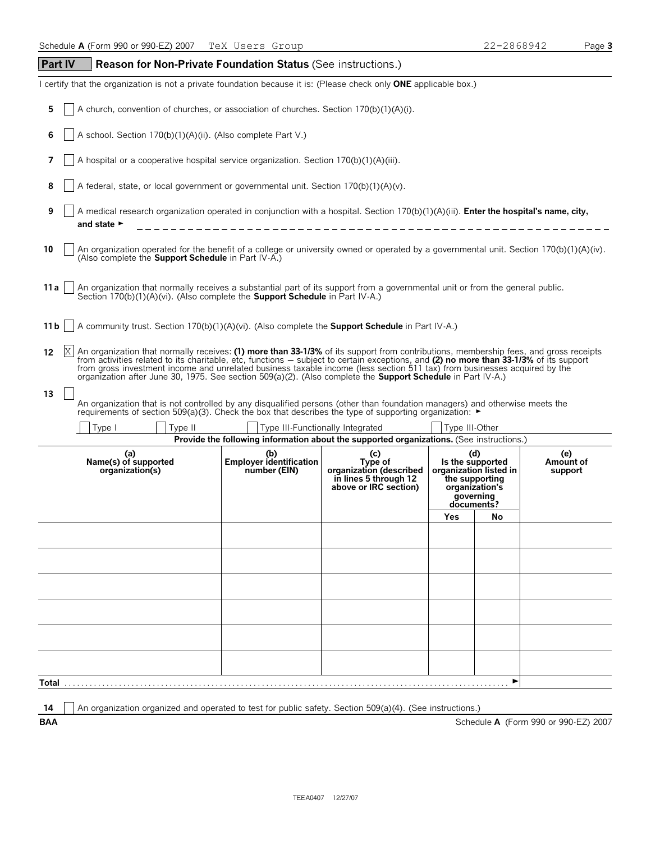| <b>Part IV</b><br>Reason for Non-Private Foundation Status (See instructions.)                                                                                                                                                                                                                                                                                                                                                                                                                                                          |                                                       |                                                                                             |                                                                                                                                                                                                              |    |                                      |
|-----------------------------------------------------------------------------------------------------------------------------------------------------------------------------------------------------------------------------------------------------------------------------------------------------------------------------------------------------------------------------------------------------------------------------------------------------------------------------------------------------------------------------------------|-------------------------------------------------------|---------------------------------------------------------------------------------------------|--------------------------------------------------------------------------------------------------------------------------------------------------------------------------------------------------------------|----|--------------------------------------|
| I certify that the organization is not a private foundation because it is: (Please check only ONE applicable box.)                                                                                                                                                                                                                                                                                                                                                                                                                      |                                                       |                                                                                             |                                                                                                                                                                                                              |    |                                      |
| 5<br>A church, convention of churches, or association of churches. Section 170(b)(1)(A)(i).                                                                                                                                                                                                                                                                                                                                                                                                                                             |                                                       |                                                                                             |                                                                                                                                                                                                              |    |                                      |
| 6<br>A school. Section 170(b)(1)(A)(ii). (Also complete Part V.)                                                                                                                                                                                                                                                                                                                                                                                                                                                                        |                                                       |                                                                                             |                                                                                                                                                                                                              |    |                                      |
| 7<br>A hospital or a cooperative hospital service organization. Section 170(b)(1)(A)(iii).                                                                                                                                                                                                                                                                                                                                                                                                                                              |                                                       |                                                                                             |                                                                                                                                                                                                              |    |                                      |
| 8<br>A federal, state, or local government or governmental unit. Section 170(b)(1)(A)(v).                                                                                                                                                                                                                                                                                                                                                                                                                                               |                                                       |                                                                                             |                                                                                                                                                                                                              |    |                                      |
| 9<br>A medical research organization operated in conjunction with a hospital. Section 170(b)(1)(A)(iii). <b>Enter the hospital's name, city,</b><br>and state $\blacktriangleright$                                                                                                                                                                                                                                                                                                                                                     |                                                       |                                                                                             |                                                                                                                                                                                                              |    |                                      |
| 10<br>An organization operated for the benefit of a college or university owned or operated by a governmental unit. Section 170(b)(1)(A)(iv).<br>(Also complete the Support Schedule in Part IV-A.)                                                                                                                                                                                                                                                                                                                                     |                                                       |                                                                                             |                                                                                                                                                                                                              |    |                                      |
| An organization that normally receives a substantial part of its support from a governmental unit or from the general public.<br>Section 170(b)(1)(A)(vi). (Also complete the <b>Support Schedule</b> in Part IV-A.)<br>11 a                                                                                                                                                                                                                                                                                                            |                                                       |                                                                                             |                                                                                                                                                                                                              |    |                                      |
| A community trust. Section 170(b)(1)(A)(vi). (Also complete the <b>Support Schedule</b> in Part IV-A.)<br>11 b                                                                                                                                                                                                                                                                                                                                                                                                                          |                                                       |                                                                                             |                                                                                                                                                                                                              |    |                                      |
| An organization that normally receives: (1) more than 33-1/3% of its support from contributions, membership fees, and gross receipts<br>12<br>from activities related to its charitable, etc, functions – subject to certain exceptions, and (2) no more than 33-1/3% of its support<br>from gross investment income and unrelated business taxable income (less section 511 tax) from businesses acquired by the<br>organization after June 30, 1975. See section 509(a)(2). (Also complete the <b>Support Schedule</b> in Part IV-A.) |                                                       |                                                                                             |                                                                                                                                                                                                              |    |                                      |
| 13<br>An organization that is not controlled by any disqualified persons (other than foundation managers) and otherwise meets the<br>requirements of section 509(a)(3). Check the box that describes the type of supporting organization: $\blacktriangleright$                                                                                                                                                                                                                                                                         |                                                       |                                                                                             |                                                                                                                                                                                                              |    |                                      |
| Type I<br>Type II                                                                                                                                                                                                                                                                                                                                                                                                                                                                                                                       |                                                       | Type III-Functionally Integrated                                                            | Type III-Other                                                                                                                                                                                               |    |                                      |
| (a)<br>Name(s) of supported<br>organization(s)                                                                                                                                                                                                                                                                                                                                                                                                                                                                                          | (b)<br><b>Employer identification</b><br>number (EIN) | (c)<br>Type of<br>organization (described<br>in lines 5 through 12<br>above or IRC section) | Provide the following information about the supported organizations. (See instructions.)<br>(d)<br>Is the supported<br>organization listed in<br>the supporting<br>organization's<br>governing<br>documents? |    | (e)<br>Amount of<br>support          |
|                                                                                                                                                                                                                                                                                                                                                                                                                                                                                                                                         |                                                       |                                                                                             | Yes                                                                                                                                                                                                          | No |                                      |
|                                                                                                                                                                                                                                                                                                                                                                                                                                                                                                                                         |                                                       |                                                                                             |                                                                                                                                                                                                              |    |                                      |
|                                                                                                                                                                                                                                                                                                                                                                                                                                                                                                                                         |                                                       |                                                                                             |                                                                                                                                                                                                              |    |                                      |
|                                                                                                                                                                                                                                                                                                                                                                                                                                                                                                                                         |                                                       |                                                                                             |                                                                                                                                                                                                              |    |                                      |
|                                                                                                                                                                                                                                                                                                                                                                                                                                                                                                                                         |                                                       |                                                                                             |                                                                                                                                                                                                              |    |                                      |
|                                                                                                                                                                                                                                                                                                                                                                                                                                                                                                                                         |                                                       |                                                                                             |                                                                                                                                                                                                              |    |                                      |
|                                                                                                                                                                                                                                                                                                                                                                                                                                                                                                                                         |                                                       |                                                                                             |                                                                                                                                                                                                              |    |                                      |
|                                                                                                                                                                                                                                                                                                                                                                                                                                                                                                                                         |                                                       |                                                                                             |                                                                                                                                                                                                              |    |                                      |
| Total                                                                                                                                                                                                                                                                                                                                                                                                                                                                                                                                   |                                                       |                                                                                             |                                                                                                                                                                                                              | ▶  |                                      |
| An organization organized and operated to test for public safety. Section 509(a)(4). (See instructions.)<br>14<br><b>BAA</b>                                                                                                                                                                                                                                                                                                                                                                                                            |                                                       |                                                                                             |                                                                                                                                                                                                              |    | Schedule A (Form 990 or 990-EZ) 2007 |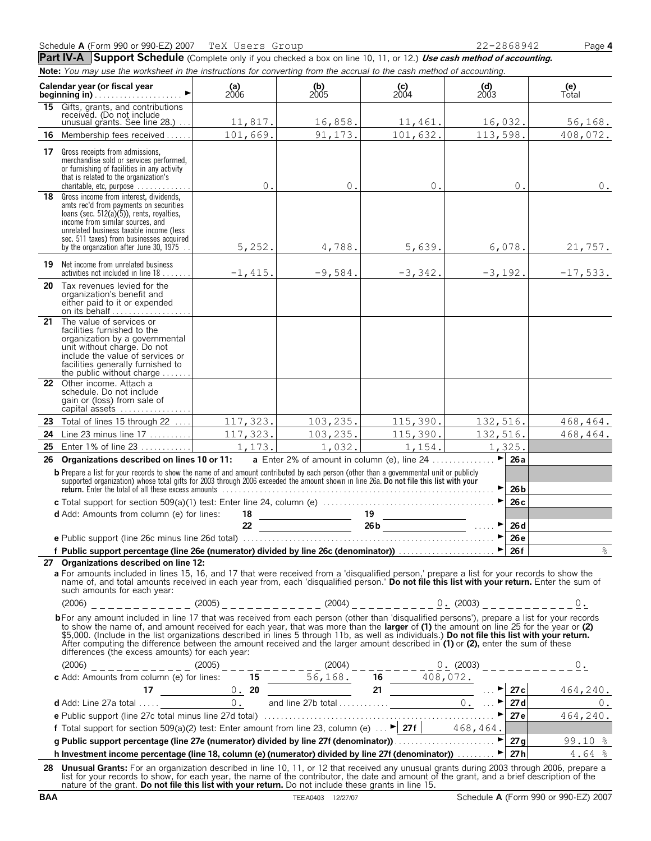Part IV-A Support Schedule (Complete only if you checked a box on line 10, 11, or 12.) Use cash method of accounting. **Note:** *You may use the worksheet in the instructions for converting from the accrual to the cash method of accounting.*

|    | Calendar year (or fiscal year<br><b>beainning in)</b>                                                                                                                                                                                                                                                                                                                                                                                                                                                                                                                                                                               | (a)<br>$2006$ | $\binom{b}{2005}$ | $\binom{c}{2004}$ | $\begin{array}{c} \textbf{(d)} \\ 2003 \end{array}$ | (e)<br>Total |
|----|-------------------------------------------------------------------------------------------------------------------------------------------------------------------------------------------------------------------------------------------------------------------------------------------------------------------------------------------------------------------------------------------------------------------------------------------------------------------------------------------------------------------------------------------------------------------------------------------------------------------------------------|---------------|-------------------|-------------------|-----------------------------------------------------|--------------|
| 15 | Gifts, grants, and contributions<br>received. (Do not include<br>unusual grants. See line 28.)                                                                                                                                                                                                                                                                                                                                                                                                                                                                                                                                      | 11,817.       | 16,858.           | 11,461.           | 16,032.                                             | 56, 168.     |
| 16 | Membership fees received                                                                                                                                                                                                                                                                                                                                                                                                                                                                                                                                                                                                            | 101,669.      | 91,173.           | 101,632.          | 113,598.                                            | 408,072.     |
| 17 | Gross receipts from admissions,<br>merchandise sold or services performed.<br>or furnishing of facilities in any activity<br>that is related to the organization's<br>charitable, etc, purpose                                                                                                                                                                                                                                                                                                                                                                                                                                      | 0.            | $0$ .             | $0$ .             | $0$ .                                               | 0.           |
| 18 | Gross income from interest, dividends,<br>amts rec'd from payments on securities<br>loans (sec. 512(a)(5)), rents, royalties,<br>income from similar sources, and<br>unrelated business taxable income (less<br>sec. 511 taxes) from businesses acquired<br>by the organization after June 30, 1975.                                                                                                                                                                                                                                                                                                                                | 5,252.        | 4,788.            | 5,639.            | 6,078.                                              | 21,757.      |
| 19 | Net income from unrelated business<br>activities not included in line 18                                                                                                                                                                                                                                                                                                                                                                                                                                                                                                                                                            | $-1,415.$     | $-9,584.$         | $-3,342.$         | $-3,192.$                                           | $-17,533.$   |
|    | <b>20</b> Tax revenues levied for the<br>organization's benefit and<br>either paid to it or expended<br>on its behalf                                                                                                                                                                                                                                                                                                                                                                                                                                                                                                               |               |                   |                   |                                                     |              |
| 21 | The value of services or<br>facilities furnished to the<br>organization by a governmental<br>unit without charge. Do not<br>include the value of services or<br>facilities generally furnished to<br>the public without charge $\dots\dots$                                                                                                                                                                                                                                                                                                                                                                                         |               |                   |                   |                                                     |              |
|    | 22 Other income. Attach a<br>schedule. Do not include<br>gain or (loss) from sale of<br>capital assets                                                                                                                                                                                                                                                                                                                                                                                                                                                                                                                              |               |                   |                   |                                                     |              |
|    | 23 Total of lines 15 through 22                                                                                                                                                                                                                                                                                                                                                                                                                                                                                                                                                                                                     | 117,323.      | 103, 235.         | 115,390.          | 132,516.                                            | 468, 464.    |
| 24 | Line 23 minus line 17                                                                                                                                                                                                                                                                                                                                                                                                                                                                                                                                                                                                               | 117,323.      | 103,235.          | 115,390.          | 132,516.                                            | 468,464.     |
| 25 | Enter 1% of line 23                                                                                                                                                                                                                                                                                                                                                                                                                                                                                                                                                                                                                 | 1,173.        | 1,032.            | 1,154.            | 1,325.                                              |              |
| 26 | Organizations described on lines 10 or 11:                                                                                                                                                                                                                                                                                                                                                                                                                                                                                                                                                                                          |               |                   |                   | $\blacktriangleright$<br>26a                        |              |
|    | <b>b</b> Prepare a list for your records to show the name of and amount contributed by each person (other than a governmental unit or publicly supported organization) whose total gifts for 2003 through 2006 exceeded the amount                                                                                                                                                                                                                                                                                                                                                                                                  |               |                   |                   | 26 <sub>b</sub>                                     |              |
|    |                                                                                                                                                                                                                                                                                                                                                                                                                                                                                                                                                                                                                                     |               |                   |                   | 26c                                                 |              |
|    | <b>d</b> Add: Amounts from column (e) for lines:                                                                                                                                                                                                                                                                                                                                                                                                                                                                                                                                                                                    | 18            |                   | 19                |                                                     |              |
|    |                                                                                                                                                                                                                                                                                                                                                                                                                                                                                                                                                                                                                                     | 22            |                   |                   | 26d                                                 |              |
|    |                                                                                                                                                                                                                                                                                                                                                                                                                                                                                                                                                                                                                                     |               |                   |                   | 26e                                                 | $\approx$    |
|    | 27 Organizations described on line 12:                                                                                                                                                                                                                                                                                                                                                                                                                                                                                                                                                                                              |               |                   |                   |                                                     |              |
|    | a For amounts included in lines 15, 16, and 17 that were received from a 'disqualified person,' prepare a list for your records to show the<br>name of, and total amounts received in each year from, each 'disqualified person.' Do not file this list with your return. Enter the sum of<br>such amounts for each year:                                                                                                                                                                                                                                                                                                           |               |                   |                   |                                                     |              |
|    |                                                                                                                                                                                                                                                                                                                                                                                                                                                                                                                                                                                                                                     |               |                   |                   |                                                     |              |
|    | bFor any amount included in line 17 that was received from each person (other than 'disqualified persons'), prepare a list for your records<br>to show the name of, and amount received for each year, that was more than the larger of (1) the amount on line 25 for the year or (2)<br>\$5,000. (Include in the list organizations described in lines 5 through 11b, as well as individuals.) Do not file this list with your return.<br>After computing the difference between the amount received and the larger amount described in $(1)$ or $(2)$ , enter the sum of these<br>differences (the excess amounts) for each year: |               |                   |                   |                                                     |              |
|    |                                                                                                                                                                                                                                                                                                                                                                                                                                                                                                                                                                                                                                     |               |                   |                   |                                                     |              |
|    |                                                                                                                                                                                                                                                                                                                                                                                                                                                                                                                                                                                                                                     |               |                   |                   |                                                     |              |
|    |                                                                                                                                                                                                                                                                                                                                                                                                                                                                                                                                                                                                                                     |               |                   |                   |                                                     |              |
|    |                                                                                                                                                                                                                                                                                                                                                                                                                                                                                                                                                                                                                                     |               |                   |                   |                                                     |              |
|    |                                                                                                                                                                                                                                                                                                                                                                                                                                                                                                                                                                                                                                     |               |                   |                   |                                                     |              |
|    |                                                                                                                                                                                                                                                                                                                                                                                                                                                                                                                                                                                                                                     |               |                   |                   |                                                     |              |
|    | h Investment income percentage (line 18, column (e) (numerator) divided by line 27f (denominator)) $\blacktriangleright$ 27h 4.64 %                                                                                                                                                                                                                                                                                                                                                                                                                                                                                                 |               |                   |                   |                                                     |              |
|    | 28 Unusual Grants: For an organization described in line 10, 11, or 12 that received any unusual grants during 2003 through 2006, prepare a                                                                                                                                                                                                                                                                                                                                                                                                                                                                                         |               |                   |                   |                                                     |              |
|    | list for your records to show, for each year, the name of the contributor, the date and amount of the grant, and a brief description of the<br>nature of the grant. Do not file this list with your return. Do not include these grants in line 15.                                                                                                                                                                                                                                                                                                                                                                                 |               |                   |                   |                                                     |              |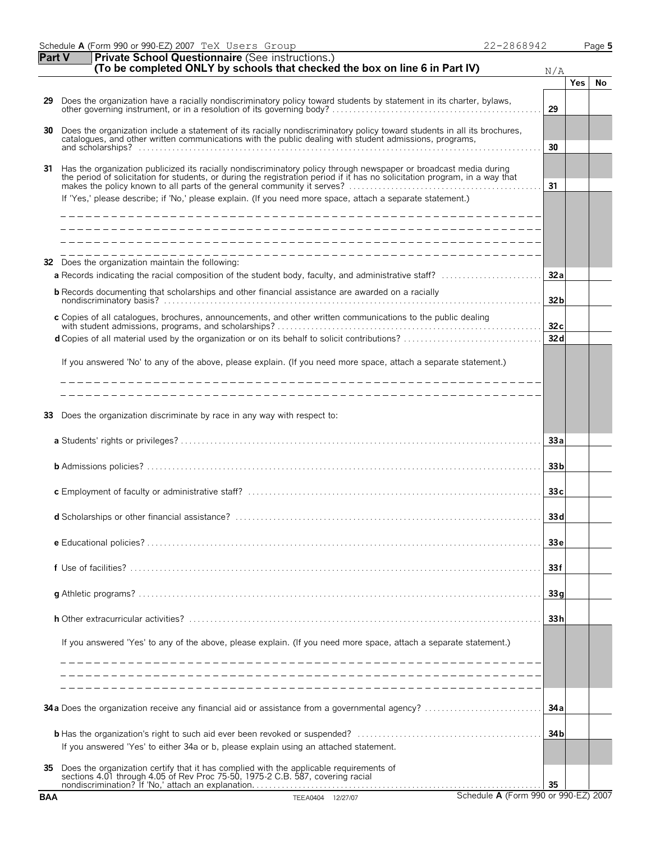| <b>Part V</b> | <b>Private School Questionnaire (See instructions.)</b><br>(To be completed ONLY by schools that checked the box on line 6 in Part IV)                                                                                                                                                                                                                         | N/A             |            |    |
|---------------|----------------------------------------------------------------------------------------------------------------------------------------------------------------------------------------------------------------------------------------------------------------------------------------------------------------------------------------------------------------|-----------------|------------|----|
|               |                                                                                                                                                                                                                                                                                                                                                                |                 | <b>Yes</b> | No |
| 29            | Does the organization have a racially nondiscriminatory policy toward students by statement in its charter, bylaws,                                                                                                                                                                                                                                            | 29              |            |    |
| 30            | Does the organization include a statement of its racially nondiscriminatory policy toward students in all its brochures, catalogues, and other written communications with the public dealing with student admissions, program                                                                                                                                 | 30              |            |    |
| 31            | Has the organization publicized its racially nondiscriminatory policy through newspaper or broadcast media during<br>the period of solicitation for students, or during the registration period if it has no solicitation program, in a way that<br>If 'Yes,' please describe; if 'No,' please explain. (If you need more space, attach a separate statement.) | 31              |            |    |
| 32            | Does the organization maintain the following:                                                                                                                                                                                                                                                                                                                  |                 |            |    |
|               | a Records indicating the racial composition of the student body, faculty, and administrative staff?                                                                                                                                                                                                                                                            | 32a             |            |    |
|               | <b>b</b> Records documenting that scholarships and other financial assistance are awarded on a racially                                                                                                                                                                                                                                                        | 32 <sub>b</sub> |            |    |
|               | c Copies of all catalogues, brochures, announcements, and other written communications to the public dealing                                                                                                                                                                                                                                                   | 32c             |            |    |
|               |                                                                                                                                                                                                                                                                                                                                                                | 32d             |            |    |
|               | If you answered 'No' to any of the above, please explain. (If you need more space, attach a separate statement.)                                                                                                                                                                                                                                               |                 |            |    |
|               | ______________________________                                                                                                                                                                                                                                                                                                                                 |                 |            |    |
| 33            | Does the organization discriminate by race in any way with respect to:                                                                                                                                                                                                                                                                                         |                 |            |    |
|               |                                                                                                                                                                                                                                                                                                                                                                | 33a             |            |    |
|               |                                                                                                                                                                                                                                                                                                                                                                | 33 <sub>b</sub> |            |    |
|               |                                                                                                                                                                                                                                                                                                                                                                | 33c             |            |    |
|               |                                                                                                                                                                                                                                                                                                                                                                | 33d             |            |    |
|               |                                                                                                                                                                                                                                                                                                                                                                | 33 <sub>e</sub> |            |    |
|               |                                                                                                                                                                                                                                                                                                                                                                | 33f             |            |    |
|               |                                                                                                                                                                                                                                                                                                                                                                | 33q             |            |    |
|               |                                                                                                                                                                                                                                                                                                                                                                | 33h             |            |    |
|               | If you answered 'Yes' to any of the above, please explain. (If you need more space, attach a separate statement.)                                                                                                                                                                                                                                              |                 |            |    |
|               |                                                                                                                                                                                                                                                                                                                                                                |                 |            |    |
|               | 34a Does the organization receive any financial aid or assistance from a governmental agency?                                                                                                                                                                                                                                                                  | 34 a            |            |    |
|               | If you answered 'Yes' to either 34a or b, please explain using an attached statement.                                                                                                                                                                                                                                                                          | 34 <sub>b</sub> |            |    |
| 35            | Does the organization certify that it has complied with the applicable requirements of sections 4.01 through 4.05 of Rev Proc 75-50, 1975-2 C.B. 587, covering racial                                                                                                                                                                                          | 35              |            |    |
| <b>BAA</b>    | Schedule A (Form 990 or 990-EZ) 2007<br>TEEA0404 12/27/07                                                                                                                                                                                                                                                                                                      |                 |            |    |

Schedule **A** (Form 990 or 990-EZ) 2007 Page **5**

TeX Users Group 22-2868942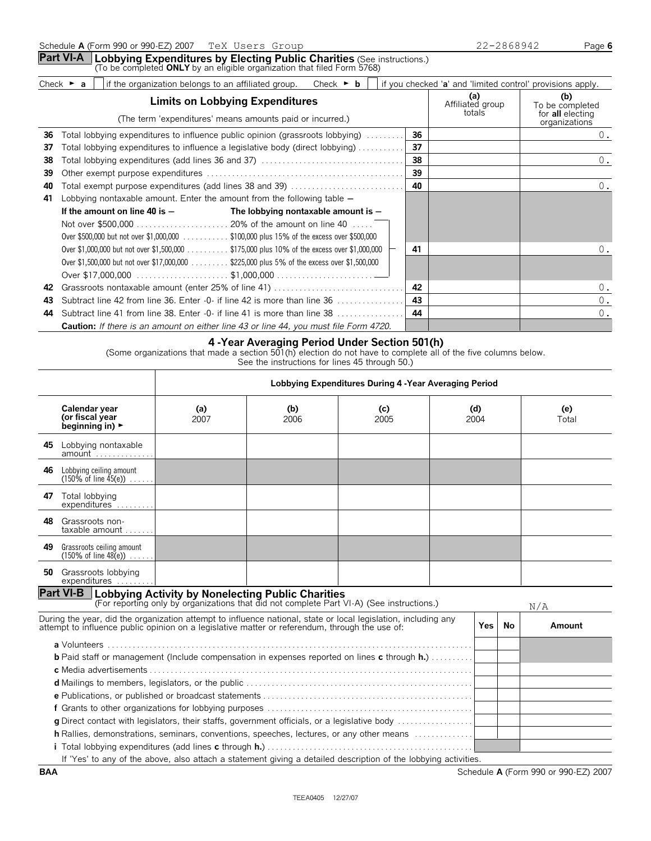|                                                               |                          |                                 | Check $\triangleright$ <b>b</b>                     |                                                                                                                                        |                                                                                                                                                                                                                                                                                                                                |                                                                                                                                                                                                                                                                                                                                  |                                                             |
|---------------------------------------------------------------|--------------------------|---------------------------------|-----------------------------------------------------|----------------------------------------------------------------------------------------------------------------------------------------|--------------------------------------------------------------------------------------------------------------------------------------------------------------------------------------------------------------------------------------------------------------------------------------------------------------------------------|----------------------------------------------------------------------------------------------------------------------------------------------------------------------------------------------------------------------------------------------------------------------------------------------------------------------------------|-------------------------------------------------------------|
| <b>Limits on Lobbying Expenditures</b>                        |                          |                                 |                                                     |                                                                                                                                        |                                                                                                                                                                                                                                                                                                                                | (a)<br>Affiliated group<br>totals                                                                                                                                                                                                                                                                                                | (b)<br>To be completed<br>for all electing<br>organizations |
|                                                               |                          |                                 |                                                     |                                                                                                                                        | 36                                                                                                                                                                                                                                                                                                                             |                                                                                                                                                                                                                                                                                                                                  | 0.                                                          |
|                                                               |                          |                                 |                                                     |                                                                                                                                        | 37                                                                                                                                                                                                                                                                                                                             |                                                                                                                                                                                                                                                                                                                                  |                                                             |
|                                                               |                          |                                 |                                                     |                                                                                                                                        | 38                                                                                                                                                                                                                                                                                                                             |                                                                                                                                                                                                                                                                                                                                  | 0.                                                          |
|                                                               |                          |                                 |                                                     |                                                                                                                                        | 39                                                                                                                                                                                                                                                                                                                             |                                                                                                                                                                                                                                                                                                                                  |                                                             |
| Total exempt purpose expenditures (add lines 38 and 39)<br>40 |                          |                                 |                                                     |                                                                                                                                        | 40                                                                                                                                                                                                                                                                                                                             |                                                                                                                                                                                                                                                                                                                                  | 0.                                                          |
|                                                               |                          |                                 |                                                     |                                                                                                                                        |                                                                                                                                                                                                                                                                                                                                |                                                                                                                                                                                                                                                                                                                                  |                                                             |
|                                                               |                          |                                 |                                                     |                                                                                                                                        |                                                                                                                                                                                                                                                                                                                                |                                                                                                                                                                                                                                                                                                                                  |                                                             |
|                                                               |                          |                                 |                                                     |                                                                                                                                        |                                                                                                                                                                                                                                                                                                                                |                                                                                                                                                                                                                                                                                                                                  |                                                             |
|                                                               |                          |                                 |                                                     |                                                                                                                                        |                                                                                                                                                                                                                                                                                                                                |                                                                                                                                                                                                                                                                                                                                  |                                                             |
|                                                               |                          |                                 |                                                     |                                                                                                                                        | 41                                                                                                                                                                                                                                                                                                                             |                                                                                                                                                                                                                                                                                                                                  | 0.                                                          |
|                                                               |                          |                                 |                                                     |                                                                                                                                        |                                                                                                                                                                                                                                                                                                                                |                                                                                                                                                                                                                                                                                                                                  |                                                             |
|                                                               |                          |                                 |                                                     |                                                                                                                                        |                                                                                                                                                                                                                                                                                                                                |                                                                                                                                                                                                                                                                                                                                  |                                                             |
|                                                               |                          |                                 |                                                     |                                                                                                                                        | 42                                                                                                                                                                                                                                                                                                                             |                                                                                                                                                                                                                                                                                                                                  | 0.                                                          |
|                                                               |                          |                                 |                                                     |                                                                                                                                        | 43                                                                                                                                                                                                                                                                                                                             |                                                                                                                                                                                                                                                                                                                                  | $0$ .                                                       |
|                                                               |                          |                                 |                                                     |                                                                                                                                        | 44                                                                                                                                                                                                                                                                                                                             |                                                                                                                                                                                                                                                                                                                                  | $0$ .                                                       |
|                                                               | Check $\triangleright$ a | If the amount on line 40 is $-$ | if the organization belongs to an affiliated group. | (The term 'expenditures' means amounts paid or incurred.)<br>Lobbying nontaxable amount. Enter the amount from the following table $-$ | The lobbying nontaxable amount is $-$<br>Over \$500,000 but not over \$1,000,000 \$100,000 plus 15% of the excess over \$500,000<br>Over \$1,000,000 but not over \$1,500,000 \$175,000 plus 10% of the excess over \$1,000,000<br>Over \$1,500,000 but not over \$17,000,000 \$225,000 plus 5% of the excess over \$1,500,000 | Total lobbying expenditures to influence public opinion (grassroots lobbying)<br>Total lobbying expenditures to influence a legislative body (direct lobbying)<br>Subtract line 42 from line 36. Enter $-0$ if line 42 is more than line 36 $\ldots$<br>Subtract line 41 from line 38. Enter -0- if line 41 is more than line 38 | if you checked 'a' and 'limited control' provisions apply.  |

**Caution:** *If there is an amount on either line 43 or line 44, you must file Form 4720.*

#### **4 -Year Averaging Period Under Section 501(h)**

(Some organizations that made a section  $501(h)$  election do not have to complete all of the five columns below.

See the instructions for lines 45 through 50.)

|                                                                                                                                                                                                                                                                                                 |                                                                                                                                                                                                                  | Lobbying Expenditures During 4 - Year Averaging Period                                    |             |             |     |                      |    |        |  |
|-------------------------------------------------------------------------------------------------------------------------------------------------------------------------------------------------------------------------------------------------------------------------------------------------|------------------------------------------------------------------------------------------------------------------------------------------------------------------------------------------------------------------|-------------------------------------------------------------------------------------------|-------------|-------------|-----|----------------------|----|--------|--|
|                                                                                                                                                                                                                                                                                                 | Calendar year<br>(or fiscal year<br>beginning in) $\blacktriangleright$                                                                                                                                          | (a)<br>2007                                                                               | (b)<br>2006 | (c)<br>2005 | (d) | (e)<br>2004<br>Total |    |        |  |
| 45.                                                                                                                                                                                                                                                                                             | Lobbying nontaxable<br>$amount \dots \dots \dots \dots$                                                                                                                                                          |                                                                                           |             |             |     |                      |    |        |  |
| 46.                                                                                                                                                                                                                                                                                             | Lobbying ceiling amount<br>$(150\% \text{ of line } 45(e)) \dots$ .                                                                                                                                              |                                                                                           |             |             |     |                      |    |        |  |
|                                                                                                                                                                                                                                                                                                 | 47 Total lobbying<br>expenditures                                                                                                                                                                                |                                                                                           |             |             |     |                      |    |        |  |
| 48.                                                                                                                                                                                                                                                                                             | Grassroots non-<br>taxable amount                                                                                                                                                                                |                                                                                           |             |             |     |                      |    |        |  |
|                                                                                                                                                                                                                                                                                                 | 49 Grassroots ceiling amount<br>$(150\% \text{ of line } 48(e)) \dots$ .                                                                                                                                         |                                                                                           |             |             |     |                      |    |        |  |
|                                                                                                                                                                                                                                                                                                 | 50 Grassroots lobbying<br>expenditures                                                                                                                                                                           |                                                                                           |             |             |     |                      |    |        |  |
|                                                                                                                                                                                                                                                                                                 | <b>Part VI-B</b> Lobbying Activity by Nonelecting Public Charities                                                                                                                                               | (For reporting only by organizations that did not complete Part VI-A) (See instructions.) |             |             |     |                      |    | N/A    |  |
|                                                                                                                                                                                                                                                                                                 | During the year, did the organization attempt to influence national, state or local legislation, including any<br>attempt to influence public opinion on a legislative matter or referendum, through the use of: |                                                                                           |             |             |     | Yes I                | No | Amount |  |
| <b>b</b> Paid staff or management (Include compensation in expenses reported on lines c through h.)<br>g Direct contact with legislators, their staffs, government officials, or a legislative body<br>h Rallies, demonstrations, seminars, conventions, speeches, lectures, or any other means |                                                                                                                                                                                                                  |                                                                                           |             |             |     |                      |    |        |  |
|                                                                                                                                                                                                                                                                                                 | If 'Yes' to any of the above, also attach a statement giving a detailed description of the lobbying activities.                                                                                                  |                                                                                           |             |             |     |                      |    |        |  |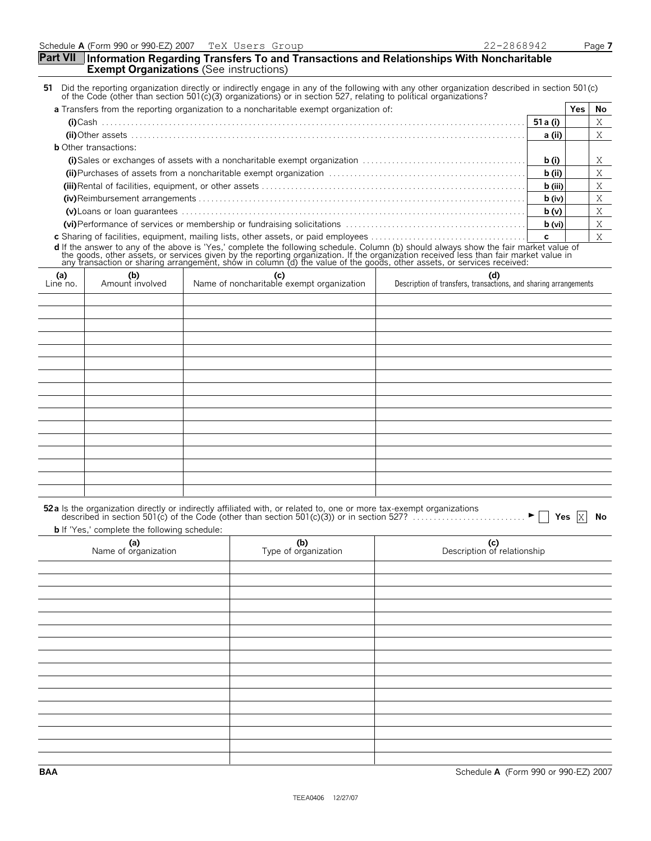#### **Part VII Information Regarding Transfers To and Transactions and Relationships With Noncharitable Exempt Organizations** (See instructions)

| 51 Did the reporting organization directly or indirectly engage in any of the following with any other organization described in section 501(c) |  |
|-------------------------------------------------------------------------------------------------------------------------------------------------|--|
| of the Code (other than section 501(c)(3) organizations) or in section 527, relating to political organizations?                                |  |
|                                                                                                                                                 |  |

| a Transfers from the reporting organization to a noncharitable exempt organization of: |          | Yes. | No. |
|----------------------------------------------------------------------------------------|----------|------|-----|
|                                                                                        |          |      |     |
|                                                                                        | a (ii)   |      |     |
| <b>b</b> Other transactions:                                                           |          |      |     |
|                                                                                        | b (i)    |      |     |
|                                                                                        | b (ii)   |      |     |
|                                                                                        | b (iii)  |      | Χ   |
|                                                                                        | $b$ (iv) |      |     |
|                                                                                        | b(v)     |      |     |
|                                                                                        | b (vi)   |      |     |
|                                                                                        |          |      |     |

**c** Sharing of facilities, equipment, mailing lists, other assets, or paid employees . . . . . . . . . . . . . . . . . . . . . . . . . . . . . . . . . . . . . **c d** If the answer to any of the above is 'Yes,' complete the following schedule. Column (b) should always show the fair market value of<br>the goods, other assets, or services given by the reporting organization. If the organ

| $(n)$<br>Line no. | (b)<br>Amount involved | (c)<br>Name of noncharitable exempt organization | (d) (d) Description of transfers, transactions, and sharing arrangements |
|-------------------|------------------------|--------------------------------------------------|--------------------------------------------------------------------------|
|                   |                        |                                                  |                                                                          |
|                   |                        |                                                  |                                                                          |
|                   |                        |                                                  |                                                                          |
|                   |                        |                                                  |                                                                          |
|                   |                        |                                                  |                                                                          |
|                   |                        |                                                  |                                                                          |
|                   |                        |                                                  |                                                                          |
|                   |                        |                                                  |                                                                          |
|                   |                        |                                                  |                                                                          |
|                   |                        |                                                  |                                                                          |
|                   |                        |                                                  |                                                                          |
|                   |                        |                                                  |                                                                          |
|                   |                        |                                                  |                                                                          |
|                   |                        |                                                  |                                                                          |
|                   |                        |                                                  |                                                                          |
|                   |                        |                                                  |                                                                          |

| 52a Is the organization directly or indirectly affiliated with, or related to, one or more tax-exempt organizations<br>described in section 501(c) of the Code (other than section 501(c)(3)) or in section 527? |  |
|------------------------------------------------------------------------------------------------------------------------------------------------------------------------------------------------------------------|--|
| <b>b</b> If 'Yes,' complete the following schedule:                                                                                                                                                              |  |

| (a)<br>Name of organization | (b)<br>Type of organization | (c)<br>Description of relationship |
|-----------------------------|-----------------------------|------------------------------------|
|                             |                             |                                    |
|                             |                             |                                    |
|                             |                             |                                    |
|                             |                             |                                    |
|                             |                             |                                    |
|                             |                             |                                    |
|                             |                             |                                    |
|                             |                             |                                    |
|                             |                             |                                    |
|                             |                             |                                    |
|                             |                             |                                    |
|                             |                             |                                    |
|                             |                             |                                    |
|                             |                             |                                    |
|                             |                             |                                    |
|                             |                             |                                    |

**BAA** Schedule **A** (Form 990 or 990-EZ) 2007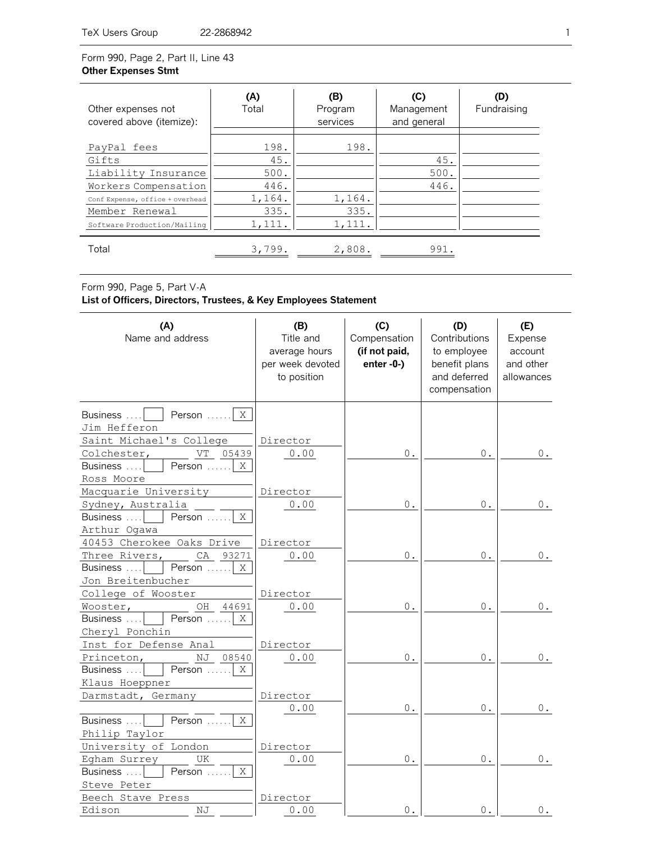# Form 990, Page 2, Part II, Line 43 **Other Expenses Stmt**

| Other expenses not<br>covered above (itemize): | (A)<br>Total | (B)<br>Program<br>services | (C)<br>Management<br>and general | (D)<br>Fundraising |
|------------------------------------------------|--------------|----------------------------|----------------------------------|--------------------|
| PayPal fees                                    | 198.         | 198.                       |                                  |                    |
| Gifts                                          | 45.          |                            | 45.                              |                    |
| Liability Insurance                            | 500.         |                            | 500.                             |                    |
| Workers Compensation                           | 446.         |                            | 446.                             |                    |
| Conf Expense, office + overhead                | 1,164.       | 1,164.                     |                                  |                    |
| Member Renewal                                 | 335.         | 335.                       |                                  |                    |
| Software Production/Mailing                    | 1,111.       | 1,111.                     |                                  |                    |
| Total                                          | 3,799.       | 2,808.                     | 991.                             |                    |

Form 990, Page 5, Part V-A

# **List of Officers, Directors, Trustees, & Key Employees Statement**

| (A)<br>Name and address           | (B)<br>Title and<br>average hours<br>per week devoted<br>to position | (C)<br>Compensation<br>(if not paid,<br>$enter - 0-$ ) | (D)<br>Contributions<br>to employee<br>benefit plans<br>and deferred<br>compensation | (E)<br>Expense<br>account<br>and other<br>allowances |
|-----------------------------------|----------------------------------------------------------------------|--------------------------------------------------------|--------------------------------------------------------------------------------------|------------------------------------------------------|
| Business<br>Person<br>X           |                                                                      |                                                        |                                                                                      |                                                      |
| Jim Hefferon                      |                                                                      |                                                        |                                                                                      |                                                      |
| Saint Michael's College           | Director                                                             |                                                        |                                                                                      |                                                      |
| VT<br>05439<br>Colchester,        | 0.00                                                                 | $\,0$ .                                                | $\mathsf{0}$ .                                                                       | $0$ .                                                |
| Person<br>X<br>Business $\dots$   |                                                                      |                                                        |                                                                                      |                                                      |
| Ross Moore                        |                                                                      |                                                        |                                                                                      |                                                      |
| Macquarie University              | Director                                                             |                                                        |                                                                                      |                                                      |
| Sydney, Australia                 | 0.00                                                                 | $\mathbf 0$ .                                          | $\,0$ .                                                                              | $0$ .                                                |
| X<br>Business<br>Person           |                                                                      |                                                        |                                                                                      |                                                      |
| Arthur Ogawa                      |                                                                      |                                                        |                                                                                      |                                                      |
| 40453 Cherokee Oaks Drive         | Director                                                             |                                                        |                                                                                      |                                                      |
| CA<br>Three Rivers,<br>93271      | 0.00                                                                 | $0$ .                                                  | $0$ .                                                                                | $0$ .                                                |
| Person<br>X<br>Business           |                                                                      |                                                        |                                                                                      |                                                      |
| Jon Breitenbucher                 |                                                                      |                                                        |                                                                                      |                                                      |
| College of Wooster                | Director                                                             |                                                        |                                                                                      |                                                      |
| Wooster,<br>OH<br>44691           | 0.00                                                                 | $0$ .                                                  | 0.                                                                                   | 0.                                                   |
| Person<br>X<br>Business           |                                                                      |                                                        |                                                                                      |                                                      |
| Cheryl Ponchin                    |                                                                      |                                                        |                                                                                      |                                                      |
| Inst for Defense Anal             | Director                                                             |                                                        |                                                                                      |                                                      |
| Princeton,<br>ΝJ<br>08540         | 0.00                                                                 | $0$ .                                                  | $0$ .                                                                                | 0.                                                   |
| Person<br>X<br>Business           |                                                                      |                                                        |                                                                                      |                                                      |
| Klaus Hoeppner                    |                                                                      |                                                        |                                                                                      |                                                      |
| Darmstadt, Germany                | Director                                                             |                                                        |                                                                                      |                                                      |
|                                   | 0.00                                                                 | $0$ .                                                  | $0$ .                                                                                | 0.                                                   |
| Person<br>X<br>Business           |                                                                      |                                                        |                                                                                      |                                                      |
| Philip Taylor                     |                                                                      |                                                        |                                                                                      |                                                      |
| University of London              | Director                                                             |                                                        |                                                                                      |                                                      |
| Egham Surrey<br>UK                | 0.00                                                                 | $\mathbf 0$ .                                          | $0$ .                                                                                | 0.                                                   |
| X<br>Business<br>Person           |                                                                      |                                                        |                                                                                      |                                                      |
| Steve Peter                       |                                                                      |                                                        |                                                                                      |                                                      |
| Beech Stave Press<br>Edison<br>ΝJ | Director<br>0.00                                                     | 0.                                                     | $0$ .                                                                                |                                                      |
|                                   |                                                                      |                                                        |                                                                                      | $0$ .                                                |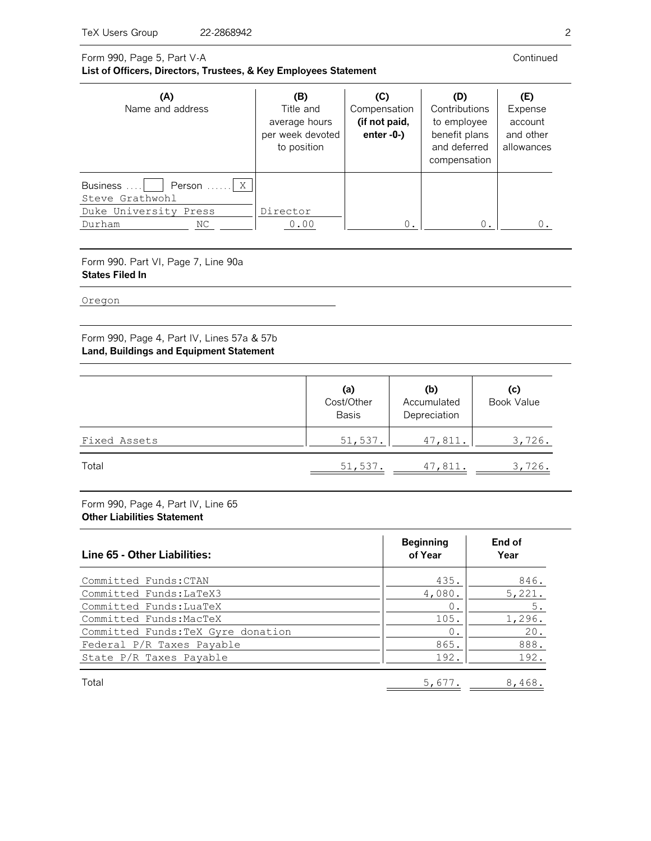#### Form 990, Page 5, Part V-A **List of Officers, Directors, Trustees, & Key Employees Statement**

| (A)<br>Name and address                                                                     | (B)<br>Title and<br>average hours<br>per week devoted<br>to position | (C)<br>Compensation<br>(if not paid,<br>enter $-0$ - $)$ | (D)<br>Contributions<br>to employee<br>benefit plans<br>and deferred<br>compensation | (E)<br>Expense<br>account<br>and other<br>allowances |
|---------------------------------------------------------------------------------------------|----------------------------------------------------------------------|----------------------------------------------------------|--------------------------------------------------------------------------------------|------------------------------------------------------|
| Person $\ldots$ $X$<br>Business<br>Steve Grathwohl<br>Duke University Press<br>Durham<br>ΝC | Director<br>0.00                                                     | 0.                                                       | $0$ .                                                                                | 0.                                                   |

Form 990. Part VI, Page 7, Line 90a **States Filed In**

Oregon

Form 990, Page 4, Part IV, Lines 57a & 57b **Land, Buildings and Equipment Statement**

|              | (a)<br>Cost/Other<br><b>Basis</b> | (b)<br>Accumulated<br>Depreciation | (c)<br><b>Book Value</b> |
|--------------|-----------------------------------|------------------------------------|--------------------------|
| Fixed Assets | 51,537.                           | 47,811.                            | 3,726.                   |
| Total        | 51,537.                           | 47,811.                            | 3,726.                   |

Form 990, Page 4, Part IV, Line 65 **Other Liabilities Statement**

| Line 65 - Other Liabilities:       | <b>Beginning</b><br>of Year | End of<br>Year |
|------------------------------------|-----------------------------|----------------|
| Committed Funds: CTAN              | 435.                        | 846.           |
| Committed Funds: LaTeX3            | 4,080.                      | 5,221.         |
| Committed Funds: LuaTeX            | $\mathbf 0$                 | $5$ .          |
| Committed Funds: MacTeX            | 105.                        | 1,296.         |
| Committed Funds: TeX Gyre donation | $\circ$                     | 20.            |
| Federal P/R Taxes Payable          | 865.                        | 888.           |
| State P/R Taxes Payable            | 192.                        | 192.           |
| Total                              | 5,677.                      | 8,468.         |

Continued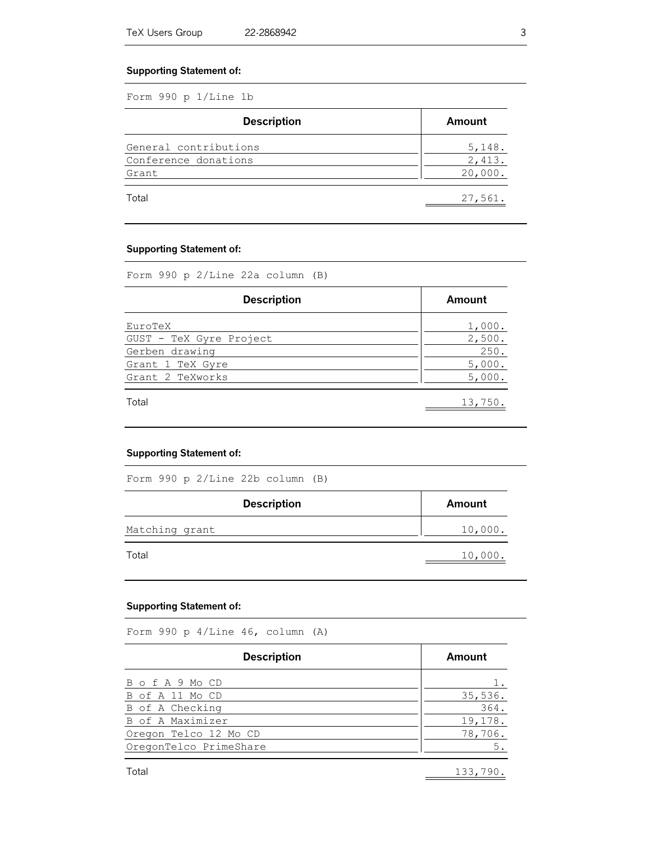#### **Supporting Statement of:**

Form 990 p 1/Line 1b

| <b>Description</b>    | Amount  |
|-----------------------|---------|
| General contributions | 5,148.  |
| Conference donations  | 2,413.  |
| Grant                 | 20,000. |
| Total                 | 27,561. |

#### **Supporting Statement of:**

Form 990 p 2/Line 22a column (B)

| <b>Description</b>      | Amount  |
|-------------------------|---------|
| EuroTeX                 | 1,000.  |
| GUST - TeX Gyre Project | 2,500.  |
| Gerben drawing          | 250.    |
| Grant 1 TeX Gyre        | 5,000.  |
| Grant 2 TeXworks        | 5,000.  |
| Total                   | 13,750. |

#### **Supporting Statement of:**

Form 990 p 2/Line 22b column (B)

| <b>Description</b> | Amount  |
|--------------------|---------|
| Matching grant     | 10,000. |
| Total              | 10,000. |

# **Supporting Statement of:**

Form 990 p 4/Line 46, column (A)

| <b>Description</b>     | Amount  |
|------------------------|---------|
| B o f A 9 Mo CD        |         |
| B of A 11 Mo CD        | 35,536. |
| B of A Checking        | 364.    |
| B of A Maximizer       | 19,178. |
| Oregon Telco 12 Mo CD  | 78,706. |
| OregonTelco PrimeShare | 5.      |
|                        |         |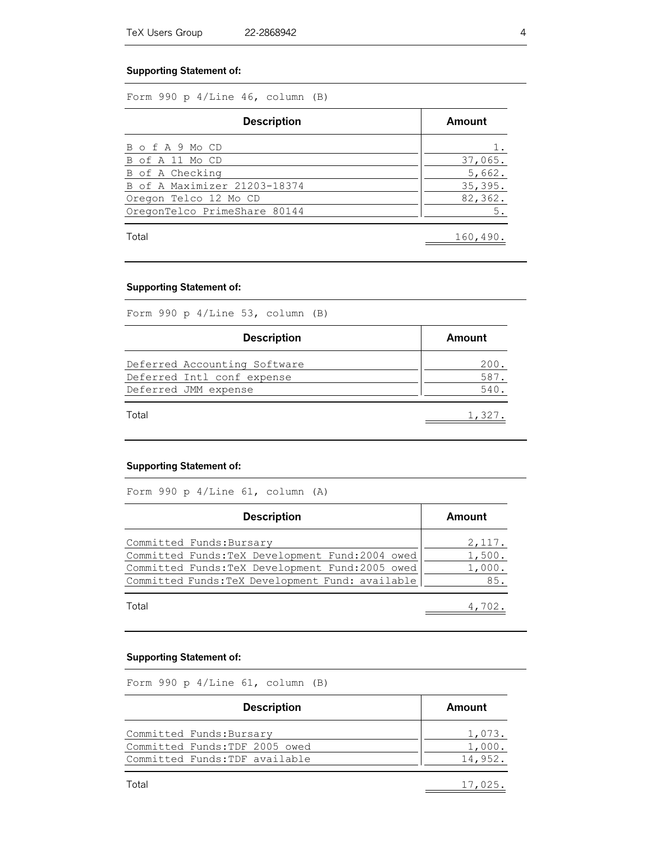#### **Supporting Statement of:**

Form 990 p 4/Line 46, column (B)

| <b>Description</b>           | Amount   |
|------------------------------|----------|
| B o f A 9 Mo CD              |          |
| B of A 11 Mo CD              | 37,065.  |
| B of A Checking              | 5,662.   |
| B of A Maximizer 21203-18374 | 35,395.  |
| Oregon Telco 12 Mo CD        | 82,362.  |
| OregonTelco PrimeShare 80144 | 5.       |
| Total                        | 160,490. |

# **Supporting Statement of:**

Form 990 p 4/Line 53, column (B)

| <b>Description</b>           | Amount |  |
|------------------------------|--------|--|
| Deferred Accounting Software | 200.   |  |
| Deferred Intl conf expense   | 587.   |  |
| Deferred JMM expense         | 540.   |  |
| Total                        | 1,327. |  |

# **Supporting Statement of:**

Form 990 p 4/Line 61, column (A)

| <b>Description</b>                               | Amount |
|--------------------------------------------------|--------|
| Committed Funds: Bursary                         | 2,117. |
| Committed Funds: TeX Development Fund: 2004 owed | 1,500. |
| Committed Funds: TeX Development Fund: 2005 owed | 1,000. |
| Committed Funds: TeX Development Fund: available | 85.    |
| Total                                            |        |

#### **Supporting Statement of:**

Form 990 p 4/Line 61, column (B)

| <b>Description</b>             | Amount  |
|--------------------------------|---------|
| Committed Funds: Bursary       | 1,073.  |
| Committed Funds: TDF 2005 owed | 1,000.  |
| Committed Funds: TDF available | 14,952. |